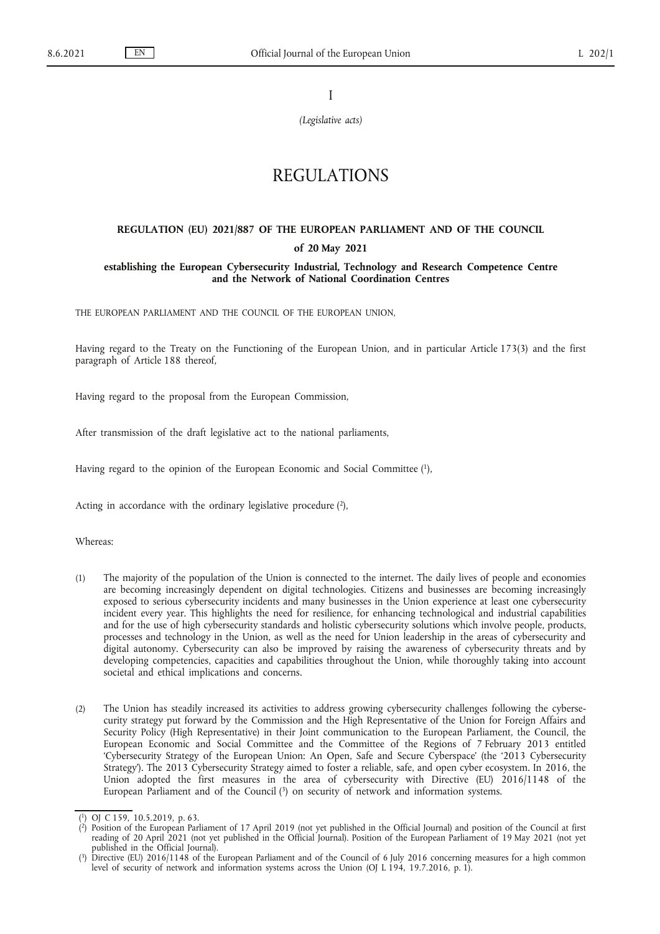I

*(Legislative acts)*

## REGULATIONS

# **REGULATION (EU) 2021/887 OF THE EUROPEAN PARLIAMENT AND OF THE COUNCIL**

## **of 20 May 2021**

## **establishing the European Cybersecurity Industrial, Technology and Research Competence Centre and the Network of National Coordination Centres**

THE EUROPEAN PARLIAMENT AND THE COUNCIL OF THE EUROPEAN UNION,

Having regard to the Treaty on the Functioning of the European Union, and in particular Article 173(3) and the first paragraph of Article 188 thereof,

Having regard to the proposal from the European Commission,

After transmission of the draft legislative act to the national parliaments,

<span id="page-0-3"></span>Having regard to the opinion of the European Economic and Social Committe[e \(1\),](#page-0-0)

<span id="page-0-4"></span>Acting in accordance with the ordinary legislative procedure  $(2)$ ,

Whereas:

- (1) The majority of the population of the Union is connected to the internet. The daily lives of people and economies are becoming increasingly dependent on digital technologies. Citizens and businesses are becoming increasingly exposed to serious cybersecurity incidents and many businesses in the Union experience at least one cybersecurity incident every year. This highlights the need for resilience, for enhancing technological and industrial capabilities and for the use of high cybersecurity standards and holistic cybersecurity solutions which involve people, products, processes and technology in the Union, as well as the need for Union leadership in the areas of cybersecurity and digital autonomy. Cybersecurity can also be improved by raising the awareness of cybersecurity threats and by developing competencies, capacities and capabilities throughout the Union, while thoroughly taking into account societal and ethical implications and concerns.
- (2) The Union has steadily increased its activities to address growing cybersecurity challenges following the cybersecurity strategy put forward by the Commission and the High Representative of the Union for Foreign Affairs and Security Policy (High Representative) in their Joint communication to the European Parliament, the Council, the European Economic and Social Committee and the Committee of the Regions of 7 February 2013 entitled 'Cybersecurity Strategy of the European Union: An Open, Safe and Secure Cyberspace' (the '2013 Cybersecurity Strategy'). The 2013 Cybersecurity Strategy aimed to foster a reliable, safe, and open cyber ecosystem. In 2016, the Union adopted the first measures in the area of cybersecurity with Directive (EU) 2016/1148 of the European Parliament and of the Council  $(3)$  on security of network and information systems.

<span id="page-0-5"></span><span id="page-0-1"></span><span id="page-0-0"></span>[<sup>\(</sup>](#page-0-3) [1\)](#page-0-3) OJ C 159, 10.5.2019, p. 63.

[<sup>\(</sup>](#page-0-4) [2\)](#page-0-4) Position of the European Parliament of 17 April 2019 (not yet published in the Official Journal) and position of the Council at first reading of 20 April 2021 (not yet published in the Official Journal). Position of the European Parliament of 19 May 2021 (not yet published in the Official Journal).

<span id="page-0-2"></span>[<sup>\(</sup>](#page-0-5) [3\)](#page-0-5) Directive (EU) 2016/1148 of the European Parliament and of the Council of 6 July 2016 concerning measures for a high common level of security of network and information systems across the Union (OJ L 194, 19.7.2016, p. 1).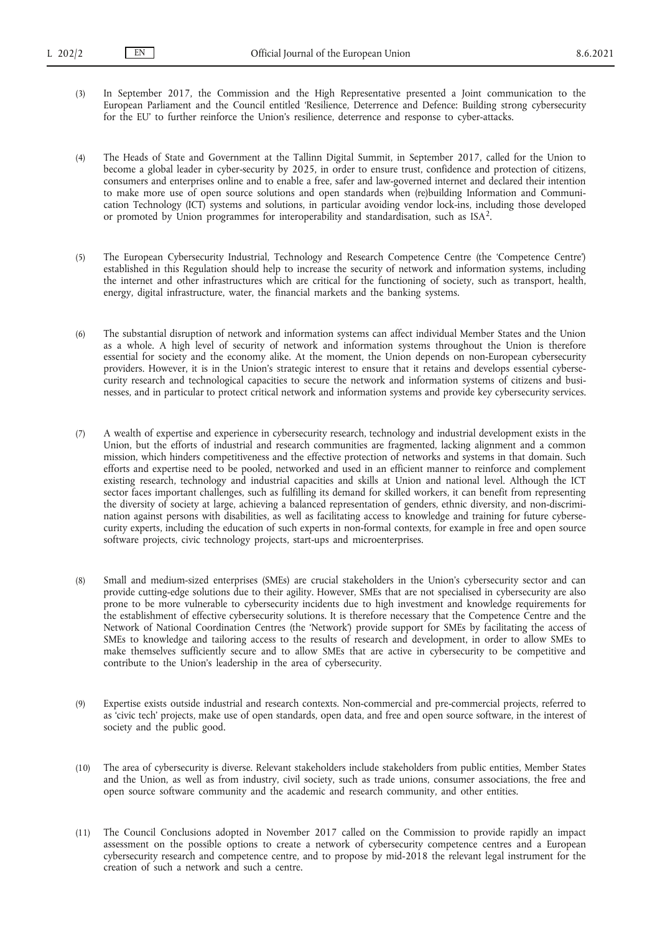(3) In September 2017, the Commission and the High Representative presented a Joint communication to the European Parliament and the Council entitled 'Resilience, Deterrence and Defence: Building strong cybersecurity for the EU' to further reinforce the Union's resilience, deterrence and response to cyber-attacks.

(4) The Heads of State and Government at the Tallinn Digital Summit, in September 2017, called for the Union to become a global leader in cyber-security by 2025, in order to ensure trust, confidence and protection of citizens, consumers and enterprises online and to enable a free, safer and law-governed internet and declared their intention to make more use of open source solutions and open standards when (re)building Information and Communication Technology (ICT) systems and solutions, in particular avoiding vendor lock-ins, including those developed or promoted by Union programmes for interoperability and standardisation, such as  $ISA<sup>2</sup>$ .

- (5) The European Cybersecurity Industrial, Technology and Research Competence Centre (the 'Competence Centre') established in this Regulation should help to increase the security of network and information systems, including the internet and other infrastructures which are critical for the functioning of society, such as transport, health, energy, digital infrastructure, water, the financial markets and the banking systems.
- (6) The substantial disruption of network and information systems can affect individual Member States and the Union as a whole. A high level of security of network and information systems throughout the Union is therefore essential for society and the economy alike. At the moment, the Union depends on non-European cybersecurity providers. However, it is in the Union's strategic interest to ensure that it retains and develops essential cybersecurity research and technological capacities to secure the network and information systems of citizens and businesses, and in particular to protect critical network and information systems and provide key cybersecurity services.
- (7) A wealth of expertise and experience in cybersecurity research, technology and industrial development exists in the Union, but the efforts of industrial and research communities are fragmented, lacking alignment and a common mission, which hinders competitiveness and the effective protection of networks and systems in that domain. Such efforts and expertise need to be pooled, networked and used in an efficient manner to reinforce and complement existing research, technology and industrial capacities and skills at Union and national level. Although the ICT sector faces important challenges, such as fulfilling its demand for skilled workers, it can benefit from representing the diversity of society at large, achieving a balanced representation of genders, ethnic diversity, and non-discrimination against persons with disabilities, as well as facilitating access to knowledge and training for future cybersecurity experts, including the education of such experts in non-formal contexts, for example in free and open source software projects, civic technology projects, start-ups and microenterprises.
- (8) Small and medium-sized enterprises (SMEs) are crucial stakeholders in the Union's cybersecurity sector and can provide cutting-edge solutions due to their agility. However, SMEs that are not specialised in cybersecurity are also prone to be more vulnerable to cybersecurity incidents due to high investment and knowledge requirements for the establishment of effective cybersecurity solutions. It is therefore necessary that the Competence Centre and the Network of National Coordination Centres (the 'Network') provide support for SMEs by facilitating the access of SMEs to knowledge and tailoring access to the results of research and development, in order to allow SMEs to make themselves sufficiently secure and to allow SMEs that are active in cybersecurity to be competitive and contribute to the Union's leadership in the area of cybersecurity.
- (9) Expertise exists outside industrial and research contexts. Non-commercial and pre-commercial projects, referred to as 'civic tech' projects, make use of open standards, open data, and free and open source software, in the interest of society and the public good.
- (10) The area of cybersecurity is diverse. Relevant stakeholders include stakeholders from public entities, Member States and the Union, as well as from industry, civil society, such as trade unions, consumer associations, the free and open source software community and the academic and research community, and other entities.
- (11) The Council Conclusions adopted in November 2017 called on the Commission to provide rapidly an impact assessment on the possible options to create a network of cybersecurity competence centres and a European cybersecurity research and competence centre, and to propose by mid-2018 the relevant legal instrument for the creation of such a network and such a centre.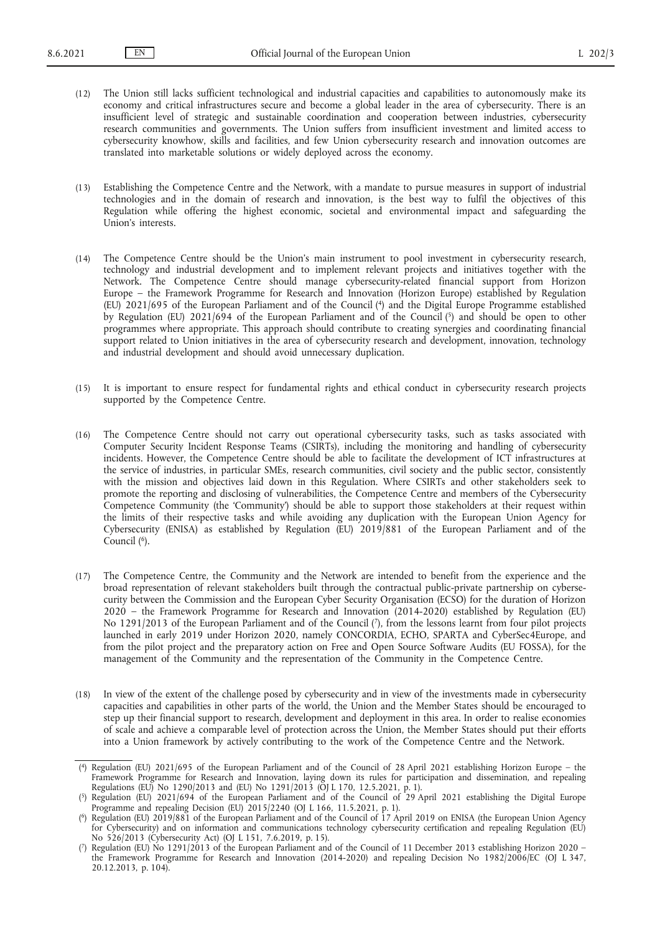- (12) The Union still lacks sufficient technological and industrial capacities and capabilities to autonomously make its economy and critical infrastructures secure and become a global leader in the area of cybersecurity. There is an insufficient level of strategic and sustainable coordination and cooperation between industries, cybersecurity research communities and governments. The Union suffers from insufficient investment and limited access to cybersecurity knowhow, skills and facilities, and few Union cybersecurity research and innovation outcomes are translated into marketable solutions or widely deployed across the economy.
- (13) Establishing the Competence Centre and the Νetwork, with a mandate to pursue measures in support of industrial technologies and in the domain of research and innovation, is the best way to fulfil the objectives of this Regulation while offering the highest economic, societal and environmental impact and safeguarding the Union's interests.
- <span id="page-2-5"></span><span id="page-2-4"></span>(14) The Competence Centre should be the Union's main instrument to pool investment in cybersecurity research, technology and industrial development and to implement relevant projects and initiatives together with the Network. The Competence Centre should manage cybersecurity-related financial support from Horizon Europe – the Framework Programme for Research and Innovation (Horizon Europe) established by Regulation (EU) 2021/695 of the European Parliament and of the Counci[l \(4\)](#page-2-0) and the Digital Europe Programme established by Regulation (EU) 2021/694 of the European Parliament and of the Counci[l \(5\)](#page-2-1) and should be open to other programmes where appropriate. This approach should contribute to creating synergies and coordinating financial support related to Union initiatives in the area of cybersecurity research and development, innovation, technology and industrial development and should avoid unnecessary duplication.
- (15) It is important to ensure respect for fundamental rights and ethical conduct in cybersecurity research projects supported by the Competence Centre.
- (16) The Competence Centre should not carry out operational cybersecurity tasks, such as tasks associated with Computer Security Incident Response Teams (CSIRTs), including the monitoring and handling of cybersecurity incidents. However, the Competence Centre should be able to facilitate the development of ICT infrastructures at the service of industries, in particular SMEs, research communities, civil society and the public sector, consistently with the mission and objectives laid down in this Regulation. Where CSIRTs and other stakeholders seek to promote the reporting and disclosing of vulnerabilities, the Competence Centre and members of the Cybersecurity Competence Community (the 'Community') should be able to support those stakeholders at their request within the limits of their respective tasks and while avoiding any duplication with the European Union Agency for Cybersecurity (ENISA) as established by Regulation (EU) 2019/881 of the European Parliament and of the Counci[l \(6\)](#page-2-2).
- <span id="page-2-7"></span><span id="page-2-6"></span>(17) The Competence Centre, the Community and the Network are intended to benefit from the experience and the broad representation of relevant stakeholders built through the contractual public-private partnership on cybersecurity between the Commission and the European Cyber Security Organisation (ECSO) for the duration of Horizon 2020 – the Framework Programme for Research and Innovation (2014-2020) established by Regulation (EU) No 1291/2013 of the European Parliament and of the Council [\(7\)](#page-2-3), from the lessons learnt from four pilot projects launched in early 2019 under Horizon 2020, namely CONCORDIA, ECHO, SPARTA and CyberSec4Europe, and from the pilot project and the preparatory action on Free and Open Source Software Audits (EU FOSSA), for the management of the Community and the representation of the Community in the Competence Centre.
- (18) In view of the extent of the challenge posed by cybersecurity and in view of the investments made in cybersecurity capacities and capabilities in other parts of the world, the Union and the Member States should be encouraged to step up their financial support to research, development and deployment in this area. In order to realise economies of scale and achieve a comparable level of protection across the Union, the Member States should put their efforts into a Union framework by actively contributing to the work of the Competence Centre and the Network.

<span id="page-2-0"></span>[<sup>\(</sup>](#page-2-4) [4\)](#page-2-4) Regulation (EU) 2021/695 of the European Parliament and of the Council of 28 April 2021 establishing Horizon Europe – the Framework Programme for Research and Innovation, laying down its rules for participation and dissemination, and repealing Regulations (EU) No 1290/2013 and (EU) No 1291/2013 (OJ L 170, 12.5.2021, p. 1).

<span id="page-2-1"></span>[<sup>\(</sup>](#page-2-5) [5\)](#page-2-5) Regulation (EU) 2021/694 of the European Parliament and of the Council of 29 April 2021 establishing the Digital Europe Programme and repealing Decision (EU) 2015/2240 (OJ L 166, 11.5.2021, p. 1).

<span id="page-2-2"></span>[<sup>\(</sup>](#page-2-6) [6\)](#page-2-6) Regulation (EU) 2019/881 of the European Parliament and of the Council of 17 April 2019 on ENISA (the European Union Agency for Cybersecurity) and on information and communications technology cybersecurity certification and repealing Regulation (EU) No 526/2013 (Cybersecurity Act) (OJ L 151, 7.6.2019, p. 15).

<span id="page-2-3"></span>[<sup>\(</sup>](#page-2-7) [7\)](#page-2-7) Regulation (EU) No 1291/2013 of the European Parliament and of the Council of 11 December 2013 establishing Horizon 2020 – the Framework Programme for Research and Innovation (2014-2020) and repealing Decision No 1982/2006/EC (OJ L 347, 20.12.2013, p. 104).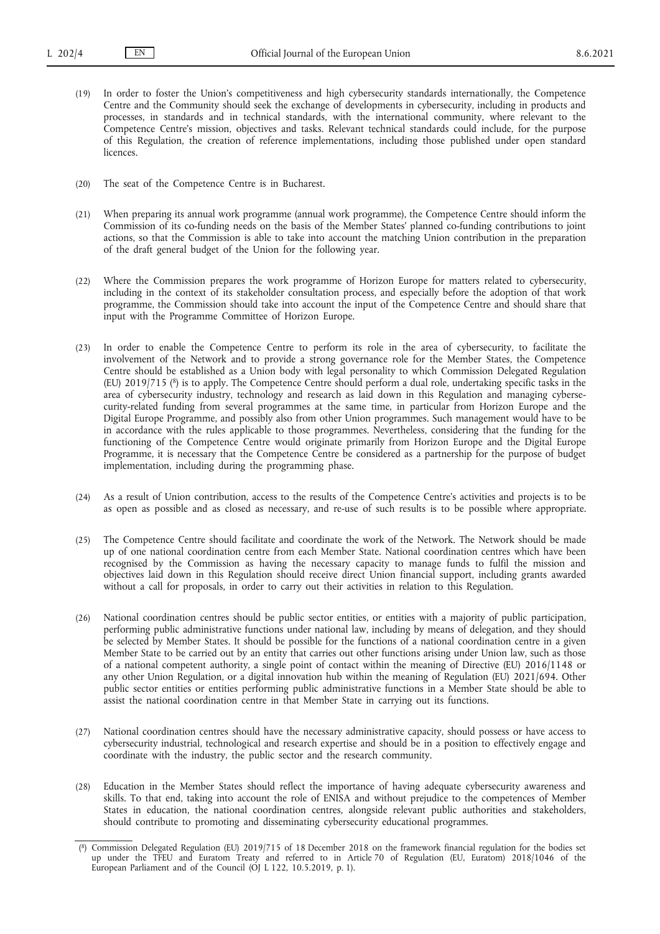- (19) In order to foster the Union's competitiveness and high cybersecurity standards internationally, the Competence Centre and the Community should seek the exchange of developments in cybersecurity, including in products and processes, in standards and in technical standards, with the international community, where relevant to the Competence Centre's mission, objectives and tasks. Relevant technical standards could include, for the purpose of this Regulation, the creation of reference implementations, including those published under open standard licences.
- (20) The seat of the Competence Centre is in Bucharest.
- (21) When preparing its annual work programme (annual work programme), the Competence Centre should inform the Commission of its co-funding needs on the basis of the Member States' planned co-funding contributions to joint actions, so that the Commission is able to take into account the matching Union contribution in the preparation of the draft general budget of the Union for the following year.
- (22) Where the Commission prepares the work programme of Horizon Europe for matters related to cybersecurity, including in the context of its stakeholder consultation process, and especially before the adoption of that work programme, the Commission should take into account the input of the Competence Centre and should share that input with the Programme Committee of Horizon Europe.
- <span id="page-3-1"></span>(23) In order to enable the Competence Centre to perform its role in the area of cybersecurity, to facilitate the involvement of the Network and to provide a strong governance role for the Member States, the Competence Centre should be established as a Union body with legal personality to which Commission Delegated Regulation (EU) 2019/715 [\(8\)](#page-3-0) is to apply. The Competence Centre should perform a dual role, undertaking specific tasks in the area of cybersecurity industry, technology and research as laid down in this Regulation and managing cybersecurity-related funding from several programmes at the same time, in particular from Horizon Europe and the Digital Europe Programme, and possibly also from other Union programmes. Such management would have to be in accordance with the rules applicable to those programmes. Nevertheless, considering that the funding for the functioning of the Competence Centre would originate primarily from Horizon Europe and the Digital Europe Programme, it is necessary that the Competence Centre be considered as a partnership for the purpose of budget implementation, including during the programming phase.
- (24) As a result of Union contribution, access to the results of the Competence Centre's activities and projects is to be as open as possible and as closed as necessary, and re-use of such results is to be possible where appropriate.
- (25) The Competence Centre should facilitate and coordinate the work of the Network. The Network should be made up of one national coordination centre from each Member State. National coordination centres which have been recognised by the Commission as having the necessary capacity to manage funds to fulfil the mission and objectives laid down in this Regulation should receive direct Union financial support, including grants awarded without a call for proposals, in order to carry out their activities in relation to this Regulation.
- (26) National coordination centres should be public sector entities, or entities with a majority of public participation, performing public administrative functions under national law, including by means of delegation, and they should be selected by Member States. It should be possible for the functions of a national coordination centre in a given Member State to be carried out by an entity that carries out other functions arising under Union law, such as those of a national competent authority, a single point of contact within the meaning of Directive (EU) 2016/1148 or any other Union Regulation, or a digital innovation hub within the meaning of Regulation (EU) 2021/694. Other public sector entities or entities performing public administrative functions in a Member State should be able to assist the national coordination centre in that Member State in carrying out its functions.
- (27) National coordination centres should have the necessary administrative capacity, should possess or have access to cybersecurity industrial, technological and research expertise and should be in a position to effectively engage and coordinate with the industry, the public sector and the research community.
- (28) Education in the Member States should reflect the importance of having adequate cybersecurity awareness and skills. To that end, taking into account the role of ENISA and without prejudice to the competences of Member States in education, the national coordination centres, alongside relevant public authorities and stakeholders, should contribute to promoting and disseminating cybersecurity educational programmes.

<span id="page-3-0"></span>[<sup>\(</sup>](#page-3-1) [8\)](#page-3-1) Commission Delegated Regulation (EU) 2019/715 of 18 December 2018 on the framework financial regulation for the bodies set up under the TFEU and Euratom Treaty and referred to in Article 70 of Regulation (EU, Euratom) 2018/1046 of the European Parliament and of the Council (OJ L 122, 10.5.2019, p. 1).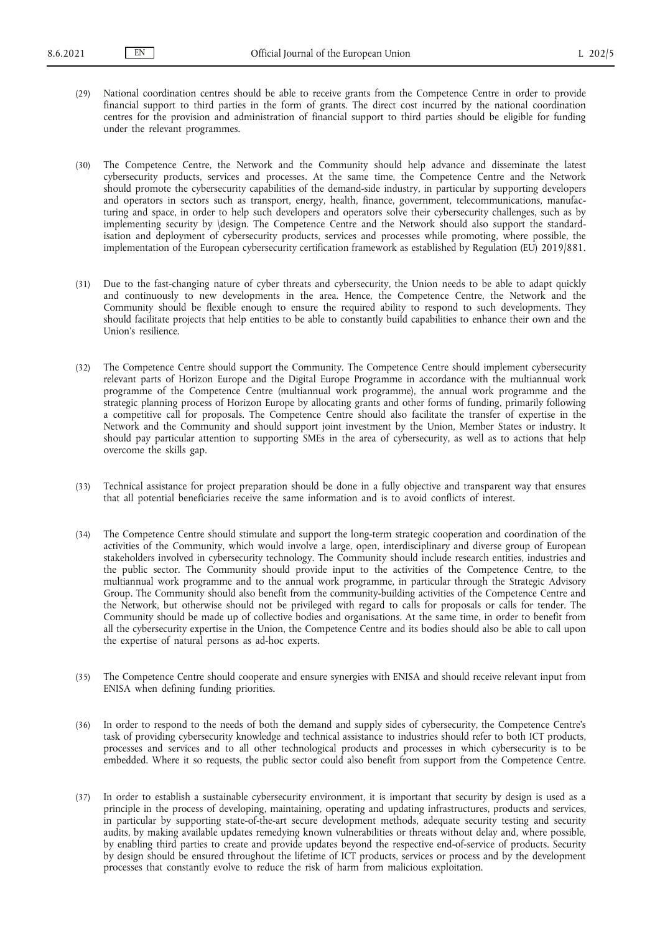(29) National coordination centres should be able to receive grants from the Competence Centre in order to provide financial support to third parties in the form of grants. The direct cost incurred by the national coordination centres for the provision and administration of financial support to third parties should be eligible for funding under the relevant programmes.

(30) The Competence Centre, the Network and the Community should help advance and disseminate the latest cybersecurity products, services and processes. At the same time, the Competence Centre and the Network should promote the cybersecurity capabilities of the demand-side industry, in particular by supporting developers and operators in sectors such as transport, energy, health, finance, government, telecommunications, manufacturing and space, in order to help such developers and operators solve their cybersecurity challenges, such as by implementing security by \design. The Competence Centre and the Network should also support the standardisation and deployment of cybersecurity products, services and processes while promoting, where possible, the implementation of the European cybersecurity certification framework as established by Regulation (EU) 2019/881.

- (31) Due to the fast-changing nature of cyber threats and cybersecurity, the Union needs to be able to adapt quickly and continuously to new developments in the area. Hence, the Competence Centre, the Network and the Community should be flexible enough to ensure the required ability to respond to such developments. They should facilitate projects that help entities to be able to constantly build capabilities to enhance their own and the Union's resilience.
- (32) The Competence Centre should support the Community. The Competence Centre should implement cybersecurity relevant parts of Horizon Europe and the Digital Europe Programme in accordance with the multiannual work programme of the Competence Centre (multiannual work programme), the annual work programme and the strategic planning process of Horizon Europe by allocating grants and other forms of funding, primarily following a competitive call for proposals. The Competence Centre should also facilitate the transfer of expertise in the Network and the Community and should support joint investment by the Union, Member States or industry. It should pay particular attention to supporting SMEs in the area of cybersecurity, as well as to actions that help overcome the skills gap.
- (33) Technical assistance for project preparation should be done in a fully objective and transparent way that ensures that all potential beneficiaries receive the same information and is to avoid conflicts of interest.
- (34) The Competence Centre should stimulate and support the long-term strategic cooperation and coordination of the activities of the Community, which would involve a large, open, interdisciplinary and diverse group of European stakeholders involved in cybersecurity technology. The Community should include research entities, industries and the public sector. The Community should provide input to the activities of the Competence Centre, to the multiannual work programme and to the annual work programme, in particular through the Strategic Advisory Group. The Community should also benefit from the community-building activities of the Competence Centre and the Network, but otherwise should not be privileged with regard to calls for proposals or calls for tender. The Community should be made up of collective bodies and organisations. At the same time, in order to benefit from all the cybersecurity expertise in the Union, the Competence Centre and its bodies should also be able to call upon the expertise of natural persons as ad-hoc experts.
- (35) The Competence Centre should cooperate and ensure synergies with ENISA and should receive relevant input from ENISA when defining funding priorities.
- (36) In order to respond to the needs of both the demand and supply sides of cybersecurity, the Competence Centre's task of providing cybersecurity knowledge and technical assistance to industries should refer to both ICT products, processes and services and to all other technological products and processes in which cybersecurity is to be embedded. Where it so requests, the public sector could also benefit from support from the Competence Centre.
- (37) In order to establish a sustainable cybersecurity environment, it is important that security by design is used as a principle in the process of developing, maintaining, operating and updating infrastructures, products and services, in particular by supporting state-of-the-art secure development methods, adequate security testing and security audits, by making available updates remedying known vulnerabilities or threats without delay and, where possible, by enabling third parties to create and provide updates beyond the respective end-of-service of products. Security by design should be ensured throughout the lifetime of ICT products, services or process and by the development processes that constantly evolve to reduce the risk of harm from malicious exploitation.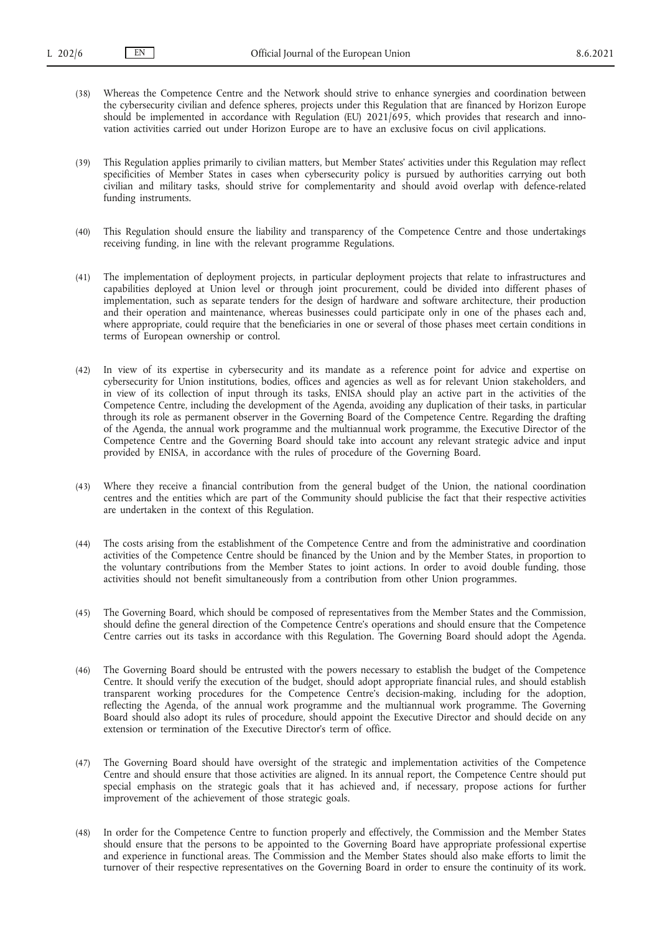(38) Whereas the Competence Centre and the Network should strive to enhance synergies and coordination between the cybersecurity civilian and defence spheres, projects under this Regulation that are financed by Horizon Europe should be implemented in accordance with Regulation (EU) 2021/695, which provides that research and innovation activities carried out under Horizon Europe are to have an exclusive focus on civil applications.

(39) This Regulation applies primarily to civilian matters, but Member States' activities under this Regulation may reflect specificities of Member States in cases when cybersecurity policy is pursued by authorities carrying out both civilian and military tasks, should strive for complementarity and should avoid overlap with defence-related funding instruments.

- (40) This Regulation should ensure the liability and transparency of the Competence Centre and those undertakings receiving funding, in line with the relevant programme Regulations.
- (41) The implementation of deployment projects, in particular deployment projects that relate to infrastructures and capabilities deployed at Union level or through joint procurement, could be divided into different phases of implementation, such as separate tenders for the design of hardware and software architecture, their production and their operation and maintenance, whereas businesses could participate only in one of the phases each and, where appropriate, could require that the beneficiaries in one or several of those phases meet certain conditions in terms of European ownership or control.
- (42) In view of its expertise in cybersecurity and its mandate as a reference point for advice and expertise on cybersecurity for Union institutions, bodies, offices and agencies as well as for relevant Union stakeholders, and in view of its collection of input through its tasks, ENISA should play an active part in the activities of the Competence Centre, including the development of the Agenda, avoiding any duplication of their tasks, in particular through its role as permanent observer in the Governing Board of the Competence Centre. Regarding the drafting of the Agenda, the annual work programme and the multiannual work programme, the Executive Director of the Competence Centre and the Governing Board should take into account any relevant strategic advice and input provided by ENISA, in accordance with the rules of procedure of the Governing Board.
- (43) Where they receive a financial contribution from the general budget of the Union, the national coordination centres and the entities which are part of the Community should publicise the fact that their respective activities are undertaken in the context of this Regulation.
- (44) The costs arising from the establishment of the Competence Centre and from the administrative and coordination activities of the Competence Centre should be financed by the Union and by the Member States, in proportion to the voluntary contributions from the Member States to joint actions. In order to avoid double funding, those activities should not benefit simultaneously from a contribution from other Union programmes.
- (45) The Governing Board, which should be composed of representatives from the Member States and the Commission, should define the general direction of the Competence Centre's operations and should ensure that the Competence Centre carries out its tasks in accordance with this Regulation. The Governing Board should adopt the Agenda.
- (46) The Governing Board should be entrusted with the powers necessary to establish the budget of the Competence Centre. It should verify the execution of the budget, should adopt appropriate financial rules, and should establish transparent working procedures for the Competence Centre's decision-making, including for the adoption, reflecting the Agenda, of the annual work programme and the multiannual work programme. The Governing Board should also adopt its rules of procedure, should appoint the Executive Director and should decide on any extension or termination of the Executive Director's term of office.
- (47) The Governing Board should have oversight of the strategic and implementation activities of the Competence Centre and should ensure that those activities are aligned. In its annual report, the Competence Centre should put special emphasis on the strategic goals that it has achieved and, if necessary, propose actions for further improvement of the achievement of those strategic goals.
- (48) In order for the Competence Centre to function properly and effectively, the Commission and the Member States should ensure that the persons to be appointed to the Governing Board have appropriate professional expertise and experience in functional areas. The Commission and the Member States should also make efforts to limit the turnover of their respective representatives on the Governing Board in order to ensure the continuity of its work.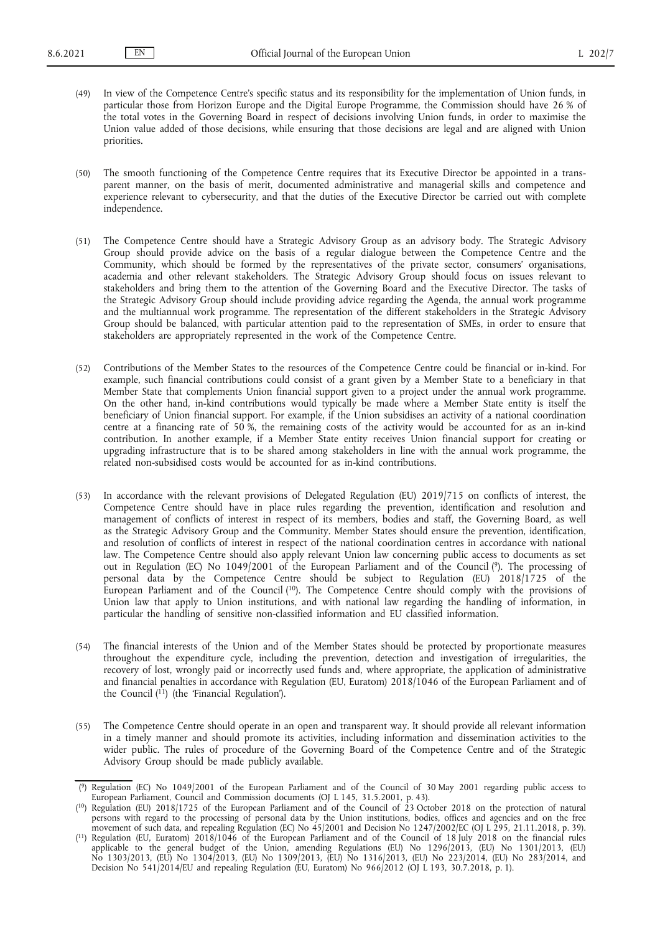(49) In view of the Competence Centre's specific status and its responsibility for the implementation of Union funds, in particular those from Horizon Europe and the Digital Europe Programme, the Commission should have 26 % of the total votes in the Governing Board in respect of decisions involving Union funds, in order to maximise the Union value added of those decisions, while ensuring that those decisions are legal and are aligned with Union priorities.

(50) The smooth functioning of the Competence Centre requires that its Executive Director be appointed in a transparent manner, on the basis of merit, documented administrative and managerial skills and competence and experience relevant to cybersecurity, and that the duties of the Executive Director be carried out with complete independence.

- (51) The Competence Centre should have a Strategic Advisory Group as an advisory body. The Strategic Advisory Group should provide advice on the basis of a regular dialogue between the Competence Centre and the Community, which should be formed by the representatives of the private sector, consumers' organisations, academia and other relevant stakeholders. The Strategic Advisory Group should focus on issues relevant to stakeholders and bring them to the attention of the Governing Board and the Executive Director. The tasks of the Strategic Advisory Group should include providing advice regarding the Agenda, the annual work programme and the multiannual work programme. The representation of the different stakeholders in the Strategic Advisory Group should be balanced, with particular attention paid to the representation of SMEs, in order to ensure that stakeholders are appropriately represented in the work of the Competence Centre.
- (52) Contributions of the Member States to the resources of the Competence Centre could be financial or in-kind. For example, such financial contributions could consist of a grant given by a Member State to a beneficiary in that Member State that complements Union financial support given to a project under the annual work programme. On the other hand, in-kind contributions would typically be made where a Member State entity is itself the beneficiary of Union financial support. For example, if the Union subsidises an activity of a national coordination centre at a financing rate of 50 %, the remaining costs of the activity would be accounted for as an in-kind contribution. In another example, if a Member State entity receives Union financial support for creating or upgrading infrastructure that is to be shared among stakeholders in line with the annual work programme, the related non-subsidised costs would be accounted for as in-kind contributions.
- <span id="page-6-3"></span>(53) In accordance with the relevant provisions of Delegated Regulation (EU) 2019/715 on conflicts of interest, the Competence Centre should have in place rules regarding the prevention, identification and resolution and management of conflicts of interest in respect of its members, bodies and staff, the Governing Board, as well as the Strategic Advisory Group and the Community. Member States should ensure the prevention, identification, and resolution of conflicts of interest in respect of the national coordination centres in accordance with national law. The Competence Centre should also apply relevant Union law concerning public access to documents as set out in Regulation (EC) No 1049/2001 of the European Parliament and of the Council [\(9\).](#page-6-0) The processing of personal data by the Competence Centre should be subject to Regulation (EU) 2018/1725 of the European Parliament and of the Counci[l \(10\)](#page-6-1). The Competence Centre should comply with the provisions of Union law that apply to Union institutions, and with national law regarding the handling of information, in particular the handling of sensitive non-classified information and EU classified information.
- <span id="page-6-4"></span>(54) The financial interests of the Union and of the Member States should be protected by proportionate measures throughout the expenditure cycle, including the prevention, detection and investigation of irregularities, the recovery of lost, wrongly paid or incorrectly used funds and, where appropriate, the application of administrative and financial penalties in accordance with Regulation (EU, Euratom) 2018/1046 of the European Parliament and of the Council  $(11)$  (the 'Financial Regulation').
- <span id="page-6-5"></span>(55) The Competence Centre should operate in an open and transparent way. It should provide all relevant information in a timely manner and should promote its activities, including information and dissemination activities to the wider public. The rules of procedure of the Governing Board of the Competence Centre and of the Strategic Advisory Group should be made publicly available.

<span id="page-6-0"></span>[<sup>\(</sup>](#page-6-3) [9\)](#page-6-3) Regulation (EC) No 1049/2001 of the European Parliament and of the Council of 30 May 2001 regarding public access to European Parliament, Council and Commission documents (OJ L 145, 31.5.2001, p. 43).

<span id="page-6-1"></span>[<sup>\(</sup>](#page-6-4)<sup>10</sup>) Regulation (EU) 2018/1725 of the European Parliament and of the Council of 23 October 2018 on the protection of natural persons with regard to the processing of personal data by the Union institutions, bodies, offices and agencies and on the free movement of such data, and repealing Regulation (EC) No 45/2001 and Decision No 1247/2002/EC (OJ L 295, 21.11.2018, p. 39).

<span id="page-6-2"></span>[<sup>\(</sup>](#page-6-5) [11\) R](#page-6-5)egulation (EU, Euratom) 2018/1046 of the European Parliament and of the Council of 18 July 2018 on the financial rules applicable to the general budget of the Union, amending Regulations (EU) No 1296/2013, (EU) No 1301/2013, (EU) No 1303/2013, (EU) No 1304/2013, (EU) No 1309/2013, (EU) No 1316/2013, (EU) No 223/2014, (EU) No 283/2014, and Decision No 541/2014/EU and repealing Regulation (EU, Euratom) No 966/2012 (OJ L 193, 30.7.2018, p. 1).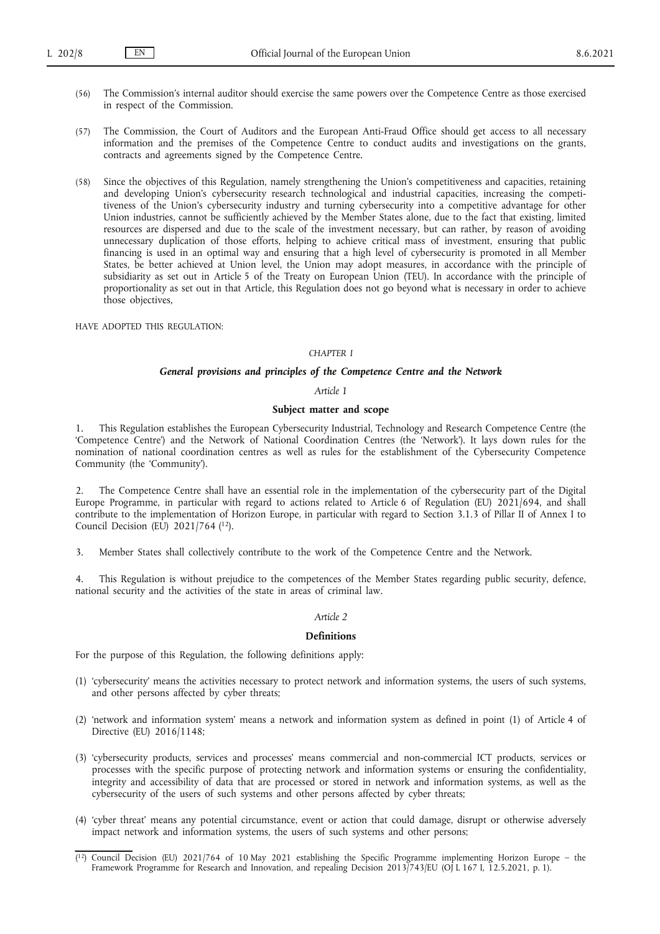- (56) The Commission's internal auditor should exercise the same powers over the Competence Centre as those exercised in respect of the Commission.
- (57) The Commission, the Court of Auditors and the European Anti-Fraud Office should get access to all necessary information and the premises of the Competence Centre to conduct audits and investigations on the grants, contracts and agreements signed by the Competence Centre.
- (58) Since the objectives of this Regulation, namely strengthening the Union's competitiveness and capacities, retaining and developing Union's cybersecurity research technological and industrial capacities, increasing the competitiveness of the Union's cybersecurity industry and turning cybersecurity into a competitive advantage for other Union industries, cannot be sufficiently achieved by the Member States alone, due to the fact that existing, limited resources are dispersed and due to the scale of the investment necessary, but can rather, by reason of avoiding unnecessary duplication of those efforts, helping to achieve critical mass of investment, ensuring that public financing is used in an optimal way and ensuring that a high level of cybersecurity is promoted in all Member States, be better achieved at Union level, the Union may adopt measures, in accordance with the principle of subsidiarity as set out in Article 5 of the Treaty on European Union (TEU). In accordance with the principle of proportionality as set out in that Article, this Regulation does not go beyond what is necessary in order to achieve those objectives,

HAVE ADOPTED THIS REGULATION:

## *CHAPTER I*

## *General provisions and principles of the Competence Centre and the Network*

#### *Article 1*

#### **Subject matter and scope**

1. This Regulation establishes the European Cybersecurity Industrial, Technology and Research Competence Centre (the 'Competence Centre') and the Network of National Coordination Centres (the 'Network'). It lays down rules for the nomination of national coordination centres as well as rules for the establishment of the Cybersecurity Competence Community (the 'Community').

The Competence Centre shall have an essential role in the implementation of the cybersecurity part of the Digital Europe Programme, in particular with regard to actions related to Article 6 of Regulation (EU) 2021/694, and shall contribute to the implementation of Horizon Europe, in particular with regard to Section 3.1.3 of Pillar II of Annex I to Council Decision (EU) 2021/764 [\(12\).](#page-7-0)

<span id="page-7-1"></span>3. Member States shall collectively contribute to the work of the Competence Centre and the Network.

4. This Regulation is without prejudice to the competences of the Member States regarding public security, defence, national security and the activities of the state in areas of criminal law.

#### *Article 2*

## **Definitions**

For the purpose of this Regulation, the following definitions apply:

- (1) 'cybersecurity' means the activities necessary to protect network and information systems, the users of such systems, and other persons affected by cyber threats;
- (2) 'network and information system' means a network and information system as defined in point (1) of Article 4 of Directive (EU) 2016/1148;
- (3) 'cybersecurity products, services and processes' means commercial and non-commercial ICT products, services or processes with the specific purpose of protecting network and information systems or ensuring the confidentiality, integrity and accessibility of data that are processed or stored in network and information systems, as well as the cybersecurity of the users of such systems and other persons affected by cyber threats;
- (4) 'cyber threat' means any potential circumstance, event or action that could damage, disrupt or otherwise adversely impact network and information systems, the users of such systems and other persons;

<span id="page-7-0"></span> $(12)$  $(12)$  Council Decision (EU) 2021/764 of 10 May 2021 establishing the Specific Programme implementing Horizon Europe – the Framework Programme for Research and Innovation, and repealing Decision 2013/743/EU (OJ L 167 I, 12.5.2021, p. 1).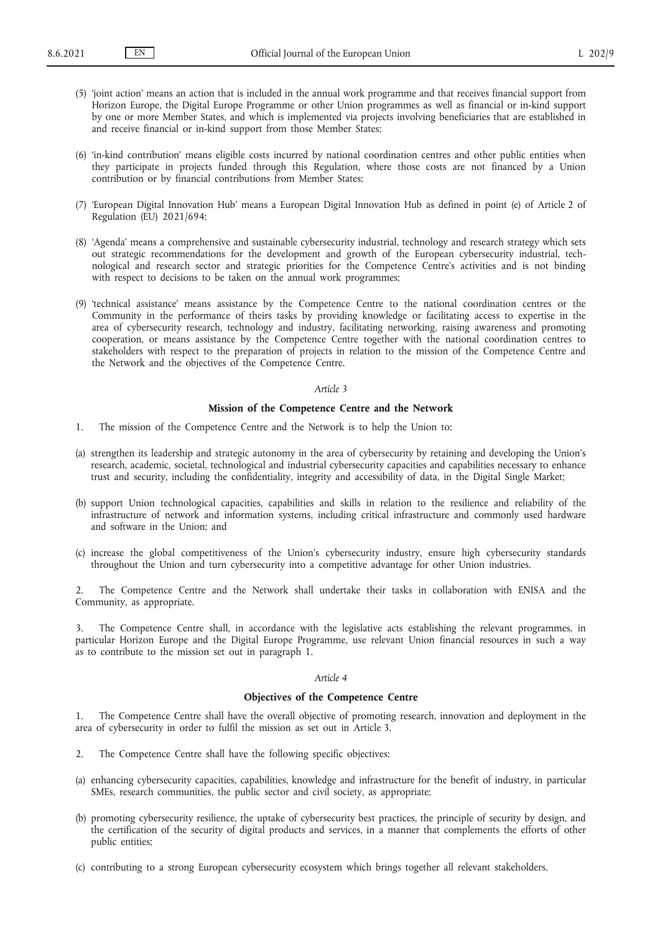- (5) 'joint action' means an action that is included in the annual work programme and that receives financial support from Horizon Europe, the Digital Europe Programme or other Union programmes as well as financial or in-kind support by one or more Member States, and which is implemented via projects involving beneficiaries that are established in and receive financial or in-kind support from those Member States;
- (6) 'in-kind contribution' means eligible costs incurred by national coordination centres and other public entities when they participate in projects funded through this Regulation, where those costs are not financed by a Union contribution or by financial contributions from Member States;
- (7) 'European Digital Innovation Hub' means a European Digital Innovation Hub as defined in point (e) of Article 2 of Regulation (EU) 2021/694;
- (8) 'Agenda' means a comprehensive and sustainable cybersecurity industrial, technology and research strategy which sets out strategic recommendations for the development and growth of the European cybersecurity industrial, technological and research sector and strategic priorities for the Competence Centre's activities and is not binding with respect to decisions to be taken on the annual work programmes;
- (9) 'technical assistance' means assistance by the Competence Centre to the national coordination centres or the Community in the performance of theirs tasks by providing knowledge or facilitating access to expertise in the area of cybersecurity research, technology and industry, facilitating networking, raising awareness and promoting cooperation, or means assistance by the Competence Centre together with the national coordination centres to stakeholders with respect to the preparation of projects in relation to the mission of the Competence Centre and the Network and the objectives of the Competence Centre.

#### **Mission of the Competence Centre and the Network**

- 1. The mission of the Competence Centre and the Network is to help the Union to:
- (a) strengthen its leadership and strategic autonomy in the area of cybersecurity by retaining and developing the Union's research, academic, societal, technological and industrial cybersecurity capacities and capabilities necessary to enhance trust and security, including the confidentiality, integrity and accessibility of data, in the Digital Single Market;
- (b) support Union technological capacities, capabilities and skills in relation to the resilience and reliability of the infrastructure of network and information systems, including critical infrastructure and commonly used hardware and software in the Union; and
- (c) increase the global competitiveness of the Union's cybersecurity industry, ensure high cybersecurity standards throughout the Union and turn cybersecurity into a competitive advantage for other Union industries.

2. The Competence Centre and the Network shall undertake their tasks in collaboration with ENISA and the Community, as appropriate.

3. The Competence Centre shall, in accordance with the legislative acts establishing the relevant programmes, in particular Horizon Europe and the Digital Europe Programme, use relevant Union financial resources in such a way as to contribute to the mission set out in paragraph 1.

#### *Article 4*

## **Objectives of the Competence Centre**

1. The Competence Centre shall have the overall objective of promoting research, innovation and deployment in the area of cybersecurity in order to fulfil the mission as set out in Article 3.

- 2. The Competence Centre shall have the following specific objectives:
- (a) enhancing cybersecurity capacities, capabilities, knowledge and infrastructure for the benefit of industry, in particular SMEs, research communities, the public sector and civil society, as appropriate;
- (b) promoting cybersecurity resilience, the uptake of cybersecurity best practices, the principle of security by design, and the certification of the security of digital products and services, in a manner that complements the efforts of other public entities;
- (c) contributing to a strong European cybersecurity ecosystem which brings together all relevant stakeholders.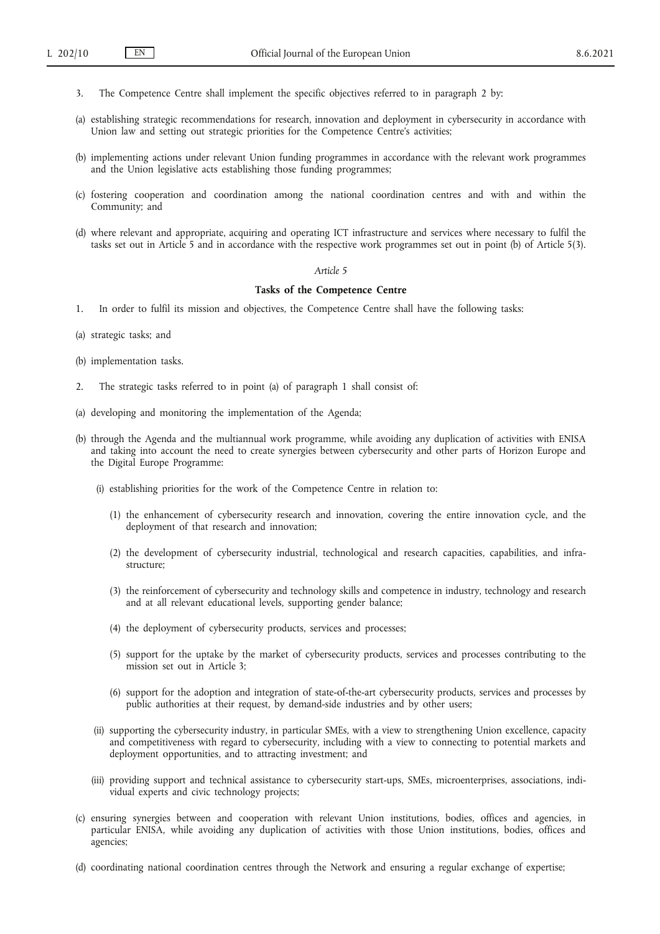- 3. The Competence Centre shall implement the specific objectives referred to in paragraph 2 by:
- (a) establishing strategic recommendations for research, innovation and deployment in cybersecurity in accordance with Union law and setting out strategic priorities for the Competence Centre's activities;
- (b) implementing actions under relevant Union funding programmes in accordance with the relevant work programmes and the Union legislative acts establishing those funding programmes;
- (c) fostering cooperation and coordination among the national coordination centres and with and within the Community; and
- (d) where relevant and appropriate, acquiring and operating ICT infrastructure and services where necessary to fulfil the tasks set out in Article 5 and in accordance with the respective work programmes set out in point (b) of Article 5(3).

#### **Tasks of the Competence Centre**

- 1. In order to fulfil its mission and objectives, the Competence Centre shall have the following tasks:
- (a) strategic tasks; and
- (b) implementation tasks.
- 2. The strategic tasks referred to in point (a) of paragraph 1 shall consist of:
- (a) developing and monitoring the implementation of the Agenda;
- (b) through the Agenda and the multiannual work programme, while avoiding any duplication of activities with ENISA and taking into account the need to create synergies between cybersecurity and other parts of Horizon Europe and the Digital Europe Programme:
	- (i) establishing priorities for the work of the Competence Centre in relation to:
		- (1) the enhancement of cybersecurity research and innovation, covering the entire innovation cycle, and the deployment of that research and innovation;
		- (2) the development of cybersecurity industrial, technological and research capacities, capabilities, and infrastructure;
		- (3) the reinforcement of cybersecurity and technology skills and competence in industry, technology and research and at all relevant educational levels, supporting gender balance;
		- (4) the deployment of cybersecurity products, services and processes;
		- (5) support for the uptake by the market of cybersecurity products, services and processes contributing to the mission set out in Article 3;
		- (6) support for the adoption and integration of state-of-the-art cybersecurity products, services and processes by public authorities at their request, by demand-side industries and by other users;
	- (ii) supporting the cybersecurity industry, in particular SMEs, with a view to strengthening Union excellence, capacity and competitiveness with regard to cybersecurity, including with a view to connecting to potential markets and deployment opportunities, and to attracting investment; and
	- (iii) providing support and technical assistance to cybersecurity start-ups, SMEs, microenterprises, associations, individual experts and civic technology projects;
- (c) ensuring synergies between and cooperation with relevant Union institutions, bodies, offices and agencies, in particular ENISA, while avoiding any duplication of activities with those Union institutions, bodies, offices and agencies;
- (d) coordinating national coordination centres through the Network and ensuring a regular exchange of expertise;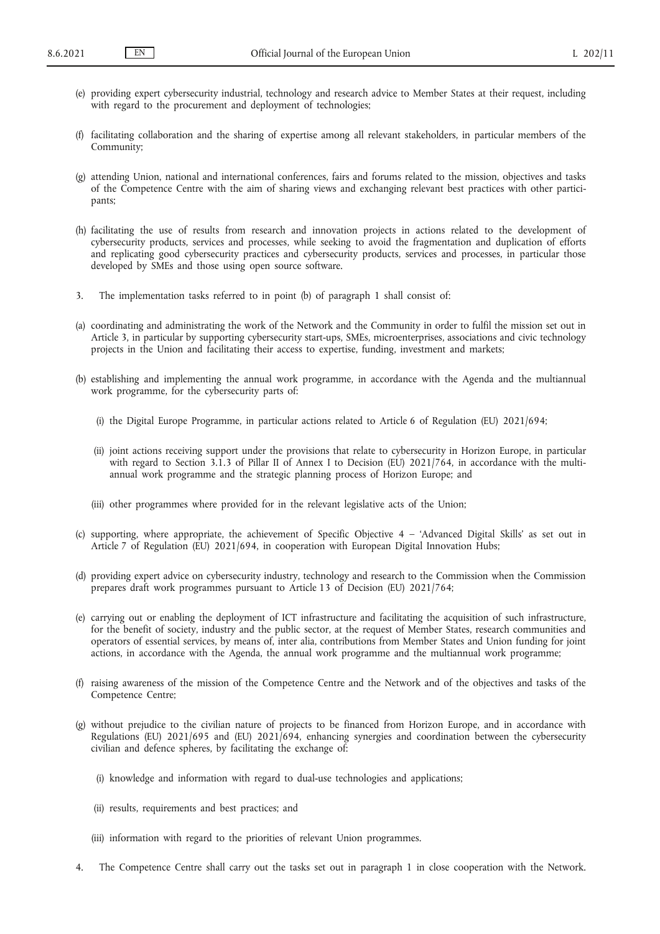- (e) providing expert cybersecurity industrial, technology and research advice to Member States at their request, including with regard to the procurement and deployment of technologies;
- (f) facilitating collaboration and the sharing of expertise among all relevant stakeholders, in particular members of the Community;
- (g) attending Union, national and international conferences, fairs and forums related to the mission, objectives and tasks of the Competence Centre with the aim of sharing views and exchanging relevant best practices with other participants;
- (h) facilitating the use of results from research and innovation projects in actions related to the development of cybersecurity products, services and processes, while seeking to avoid the fragmentation and duplication of efforts and replicating good cybersecurity practices and cybersecurity products, services and processes, in particular those developed by SMEs and those using open source software.
- 3. The implementation tasks referred to in point (b) of paragraph 1 shall consist of:
- (a) coordinating and administrating the work of the Network and the Community in order to fulfil the mission set out in Article 3, in particular by supporting cybersecurity start-ups, SMEs, microenterprises, associations and civic technology projects in the Union and facilitating their access to expertise, funding, investment and markets;
- (b) establishing and implementing the annual work programme, in accordance with the Agenda and the multiannual work programme, for the cybersecurity parts of:
	- (i) the Digital Europe Programme, in particular actions related to Article 6 of Regulation (EU) 2021/694;
	- (ii) joint actions receiving support under the provisions that relate to cybersecurity in Horizon Europe, in particular with regard to Section 3.1.3 of Pillar II of Annex I to Decision (EU) 2021/764, in accordance with the multiannual work programme and the strategic planning process of Horizon Europe; and
	- (iii) other programmes where provided for in the relevant legislative acts of the Union;
- (c) supporting, where appropriate, the achievement of Specific Objective 4 'Advanced Digital Skills' as set out in Article 7 of Regulation (EU) 2021/694, in cooperation with European Digital Innovation Hubs;
- (d) providing expert advice on cybersecurity industry, technology and research to the Commission when the Commission prepares draft work programmes pursuant to Article 13 of Decision (EU) 2021/764;
- (e) carrying out or enabling the deployment of ICT infrastructure and facilitating the acquisition of such infrastructure, for the benefit of society, industry and the public sector, at the request of Member States, research communities and operators of essential services, by means of, inter alia, contributions from Member States and Union funding for joint actions, in accordance with the Agenda, the annual work programme and the multiannual work programme;
- (f) raising awareness of the mission of the Competence Centre and the Network and of the objectives and tasks of the Competence Centre;
- (g) without prejudice to the civilian nature of projects to be financed from Horizon Europe, and in accordance with Regulations (EU) 2021/695 and (EU) 2021/694, enhancing synergies and coordination between the cybersecurity civilian and defence spheres, by facilitating the exchange of:
	- (i) knowledge and information with regard to dual-use technologies and applications;
	- (ii) results, requirements and best practices; and
	- (iii) information with regard to the priorities of relevant Union programmes.
- 4. The Competence Centre shall carry out the tasks set out in paragraph 1 in close cooperation with the Network.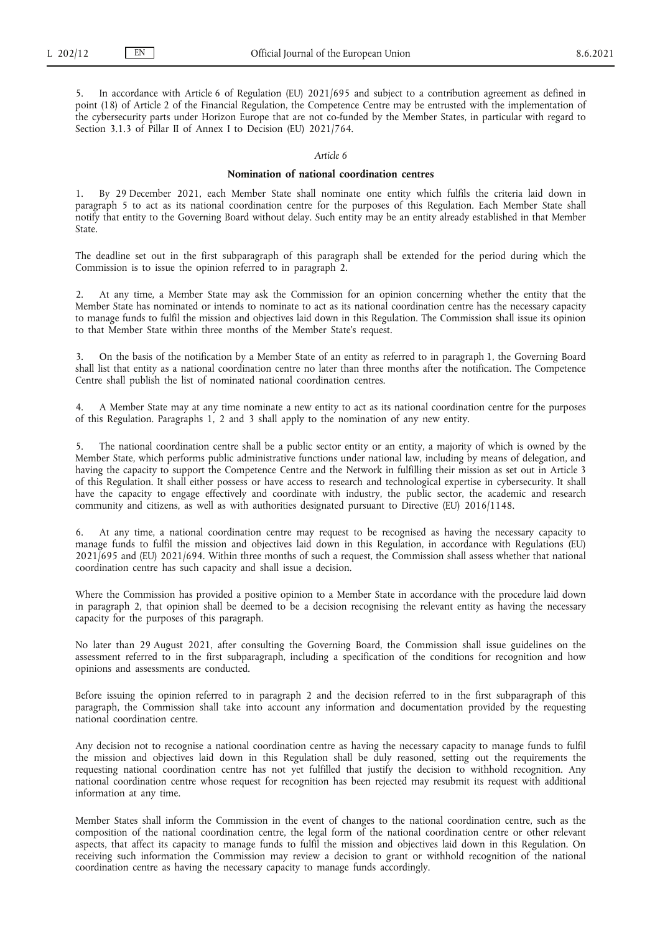5. In accordance with Article 6 of Regulation (EU) 2021/695 and subject to a contribution agreement as defined in point (18) of Article 2 of the Financial Regulation, the Competence Centre may be entrusted with the implementation of the cybersecurity parts under Horizon Europe that are not co-funded by the Member States, in particular with regard to Section 3.1.3 of Pillar II of Annex I to Decision (EU) 2021/764.

#### *Article 6*

#### **Nomination of national coordination centres**

1. By 29 December 2021, each Member State shall nominate one entity which fulfils the criteria laid down in paragraph 5 to act as its national coordination centre for the purposes of this Regulation. Each Member State shall notify that entity to the Governing Board without delay. Such entity may be an entity already established in that Member State.

The deadline set out in the first subparagraph of this paragraph shall be extended for the period during which the Commission is to issue the opinion referred to in paragraph 2.

2. At any time, a Member State may ask the Commission for an opinion concerning whether the entity that the Member State has nominated or intends to nominate to act as its national coordination centre has the necessary capacity to manage funds to fulfil the mission and objectives laid down in this Regulation. The Commission shall issue its opinion to that Member State within three months of the Member State's request.

3. On the basis of the notification by a Member State of an entity as referred to in paragraph 1, the Governing Board shall list that entity as a national coordination centre no later than three months after the notification. The Competence Centre shall publish the list of nominated national coordination centres.

4. A Member State may at any time nominate a new entity to act as its national coordination centre for the purposes of this Regulation. Paragraphs 1, 2 and 3 shall apply to the nomination of any new entity.

The national coordination centre shall be a public sector entity or an entity, a majority of which is owned by the Member State, which performs public administrative functions under national law, including by means of delegation, and having the capacity to support the Competence Centre and the Network in fulfilling their mission as set out in Article 3 of this Regulation. It shall either possess or have access to research and technological expertise in cybersecurity. It shall have the capacity to engage effectively and coordinate with industry, the public sector, the academic and research community and citizens, as well as with authorities designated pursuant to Directive (EU) 2016/1148.

6. At any time, a national coordination centre may request to be recognised as having the necessary capacity to manage funds to fulfil the mission and objectives laid down in this Regulation, in accordance with Regulations (EU) 2021/695 and (EU) 2021/694. Within three months of such a request, the Commission shall assess whether that national coordination centre has such capacity and shall issue a decision.

Where the Commission has provided a positive opinion to a Member State in accordance with the procedure laid down in paragraph 2, that opinion shall be deemed to be a decision recognising the relevant entity as having the necessary capacity for the purposes of this paragraph.

No later than 29 August 2021, after consulting the Governing Board, the Commission shall issue guidelines on the assessment referred to in the first subparagraph, including a specification of the conditions for recognition and how opinions and assessments are conducted.

Before issuing the opinion referred to in paragraph 2 and the decision referred to in the first subparagraph of this paragraph, the Commission shall take into account any information and documentation provided by the requesting national coordination centre.

Any decision not to recognise a national coordination centre as having the necessary capacity to manage funds to fulfil the mission and objectives laid down in this Regulation shall be duly reasoned, setting out the requirements the requesting national coordination centre has not yet fulfilled that justify the decision to withhold recognition. Any national coordination centre whose request for recognition has been rejected may resubmit its request with additional information at any time.

Member States shall inform the Commission in the event of changes to the national coordination centre, such as the composition of the national coordination centre, the legal form of the national coordination centre or other relevant aspects, that affect its capacity to manage funds to fulfil the mission and objectives laid down in this Regulation. On receiving such information the Commission may review a decision to grant or withhold recognition of the national coordination centre as having the necessary capacity to manage funds accordingly.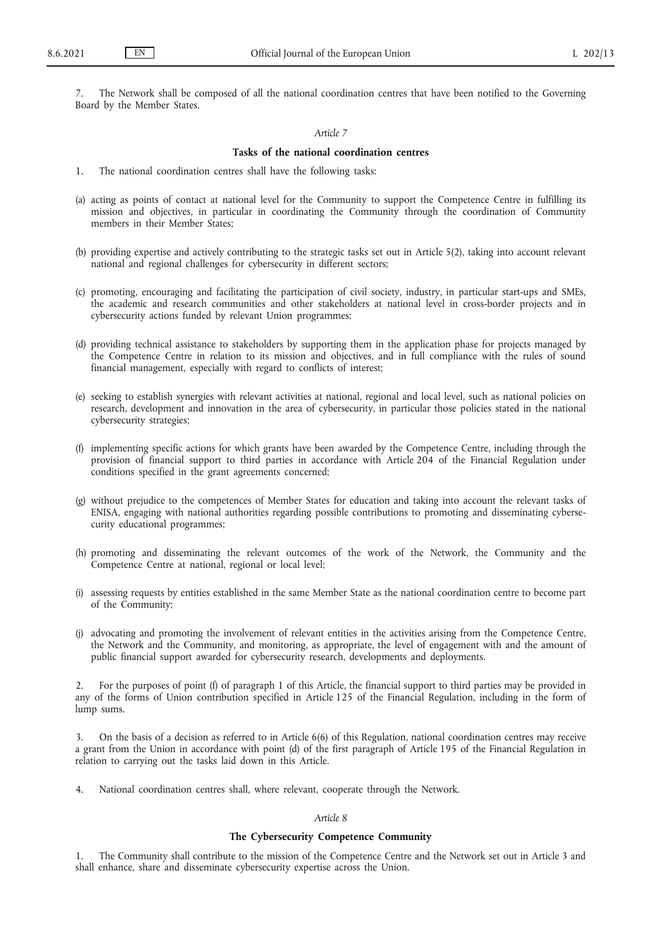7. The Network shall be composed of all the national coordination centres that have been notified to the Governing Board by the Member States.

#### *Article 7*

#### **Tasks of the national coordination centres**

- 1. The national coordination centres shall have the following tasks:
- (a) acting as points of contact at national level for the Community to support the Competence Centre in fulfilling its mission and objectives, in particular in coordinating the Community through the coordination of Community members in their Member States;
- (b) providing expertise and actively contributing to the strategic tasks set out in Article 5(2), taking into account relevant national and regional challenges for cybersecurity in different sectors;
- (c) promoting, encouraging and facilitating the participation of civil society, industry, in particular start-ups and SMEs, the academic and research communities and other stakeholders at national level in cross-border projects and in cybersecurity actions funded by relevant Union programmes;
- (d) providing technical assistance to stakeholders by supporting them in the application phase for projects managed by the Competence Centre in relation to its mission and objectives, and in full compliance with the rules of sound financial management, especially with regard to conflicts of interest;
- (e) seeking to establish synergies with relevant activities at national, regional and local level, such as national policies on research, development and innovation in the area of cybersecurity, in particular those policies stated in the national cybersecurity strategies;
- (f) implementing specific actions for which grants have been awarded by the Competence Centre, including through the provision of financial support to third parties in accordance with Article 204 of the Financial Regulation under conditions specified in the grant agreements concerned;
- (g) without prejudice to the competences of Member States for education and taking into account the relevant tasks of ENISA, engaging with national authorities regarding possible contributions to promoting and disseminating cybersecurity educational programmes;
- (h) promoting and disseminating the relevant outcomes of the work of the Network, the Community and the Competence Centre at national, regional or local level;
- (i) assessing requests by entities established in the same Member State as the national coordination centre to become part of the Community;
- (j) advocating and promoting the involvement of relevant entities in the activities arising from the Competence Centre, the Network and the Community, and monitoring, as appropriate, the level of engagement with and the amount of public financial support awarded for cybersecurity research, developments and deployments.

2. For the purposes of point (f) of paragraph 1 of this Article, the financial support to third parties may be provided in any of the forms of Union contribution specified in Article 125 of the Financial Regulation, including in the form of lump sums.

3. On the basis of a decision as referred to in Article 6(6) of this Regulation, national coordination centres may receive a grant from the Union in accordance with point (d) of the first paragraph of Article 195 of the Financial Regulation in relation to carrying out the tasks laid down in this Article.

4. National coordination centres shall, where relevant, cooperate through the Network.

## *Article 8*

## **The Cybersecurity Competence Community**

1. The Community shall contribute to the mission of the Competence Centre and the Network set out in Article 3 and shall enhance, share and disseminate cybersecurity expertise across the Union.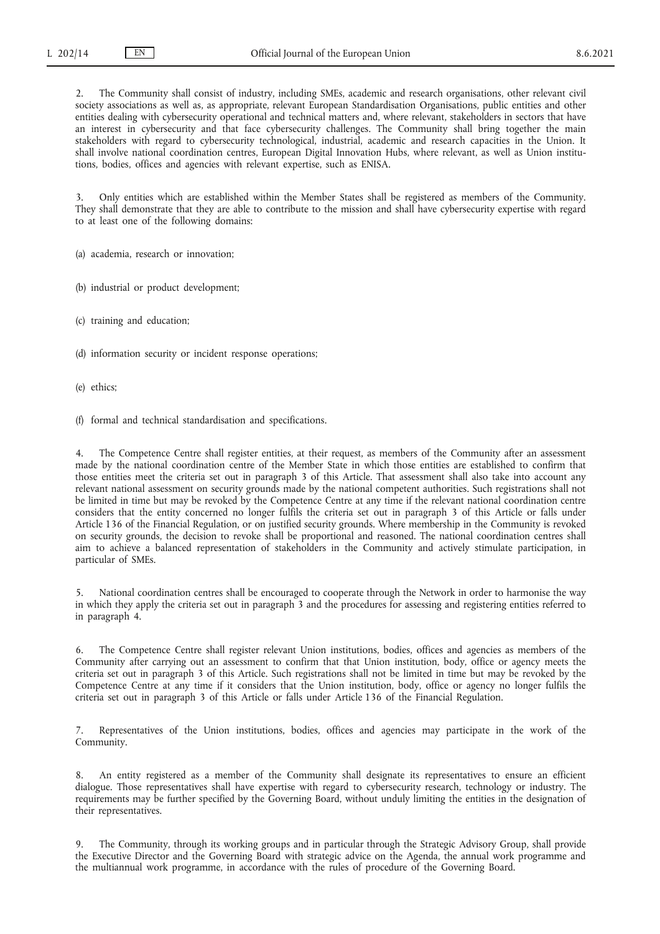2. The Community shall consist of industry, including SMEs, academic and research organisations, other relevant civil society associations as well as, as appropriate, relevant European Standardisation Organisations, public entities and other entities dealing with cybersecurity operational and technical matters and, where relevant, stakeholders in sectors that have an interest in cybersecurity and that face cybersecurity challenges. The Community shall bring together the main stakeholders with regard to cybersecurity technological, industrial, academic and research capacities in the Union. It shall involve national coordination centres, European Digital Innovation Hubs, where relevant, as well as Union institutions, bodies, offices and agencies with relevant expertise, such as ENISA.

3. Only entities which are established within the Member States shall be registered as members of the Community. They shall demonstrate that they are able to contribute to the mission and shall have cybersecurity expertise with regard to at least one of the following domains:

(a) academia, research or innovation;

(b) industrial or product development;

(c) training and education;

- (d) information security or incident response operations;
- (e) ethics;

(f) formal and technical standardisation and specifications.

The Competence Centre shall register entities, at their request, as members of the Community after an assessment made by the national coordination centre of the Member State in which those entities are established to confirm that those entities meet the criteria set out in paragraph 3 of this Article. That assessment shall also take into account any relevant national assessment on security grounds made by the national competent authorities. Such registrations shall not be limited in time but may be revoked by the Competence Centre at any time if the relevant national coordination centre considers that the entity concerned no longer fulfils the criteria set out in paragraph 3 of this Article or falls under Article 136 of the Financial Regulation, or on justified security grounds. Where membership in the Community is revoked on security grounds, the decision to revoke shall be proportional and reasoned. The national coordination centres shall aim to achieve a balanced representation of stakeholders in the Community and actively stimulate participation, in particular of SMEs.

5. National coordination centres shall be encouraged to cooperate through the Network in order to harmonise the way in which they apply the criteria set out in paragraph 3 and the procedures for assessing and registering entities referred to in paragraph 4.

6. The Competence Centre shall register relevant Union institutions, bodies, offices and agencies as members of the Community after carrying out an assessment to confirm that that Union institution, body, office or agency meets the criteria set out in paragraph 3 of this Article. Such registrations shall not be limited in time but may be revoked by the Competence Centre at any time if it considers that the Union institution, body, office or agency no longer fulfils the criteria set out in paragraph 3 of this Article or falls under Article 136 of the Financial Regulation.

7. Representatives of the Union institutions, bodies, offices and agencies may participate in the work of the Community.

8. An entity registered as a member of the Community shall designate its representatives to ensure an efficient dialogue. Those representatives shall have expertise with regard to cybersecurity research, technology or industry. The requirements may be further specified by the Governing Board, without unduly limiting the entities in the designation of their representatives.

9. The Community, through its working groups and in particular through the Strategic Advisory Group, shall provide the Executive Director and the Governing Board with strategic advice on the Agenda, the annual work programme and the multiannual work programme, in accordance with the rules of procedure of the Governing Board.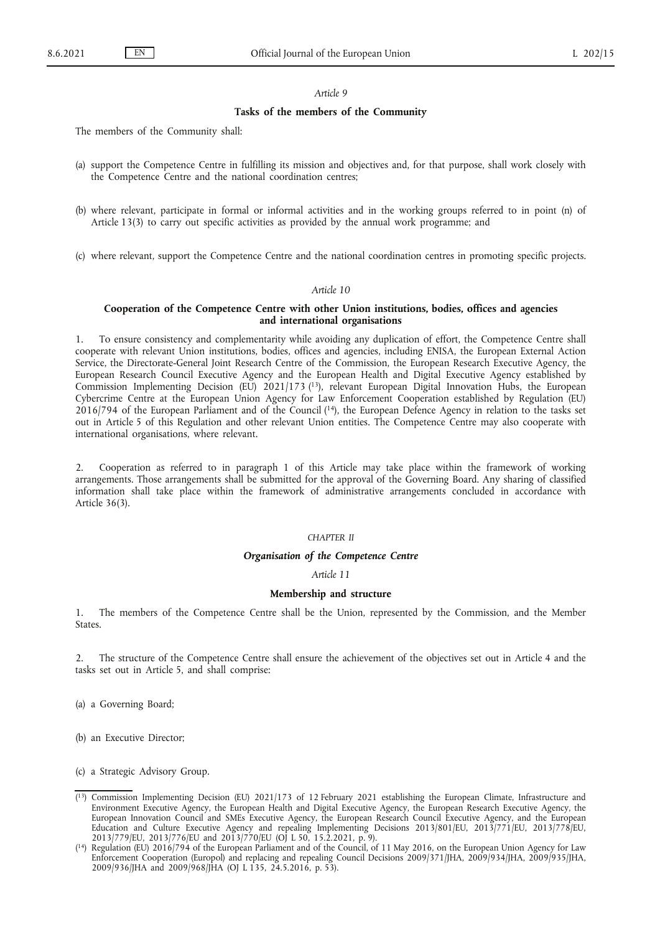## **Tasks of the members of the Community**

The members of the Community shall:

- (a) support the Competence Centre in fulfilling its mission and objectives and, for that purpose, shall work closely with the Competence Centre and the national coordination centres;
- (b) where relevant, participate in formal or informal activities and in the working groups referred to in point (n) of Article 13(3) to carry out specific activities as provided by the annual work programme; and
- (c) where relevant, support the Competence Centre and the national coordination centres in promoting specific projects.

#### *Article 10*

## **Cooperation of the Competence Centre with other Union institutions, bodies, offices and agencies and international organisations**

<span id="page-14-2"></span>1. To ensure consistency and complementarity while avoiding any duplication of effort, the Competence Centre shall cooperate with relevant Union institutions, bodies, offices and agencies, including ENISA, the European External Action Service, the Directorate-General Joint Research Centre of the Commission, the European Research Executive Agency, the European Research Council Executive Agency and the European Health and Digital Executive Agency established by Commission Implementing Decision (EU) 2021/173 [\(13\),](#page-14-0) relevant European Digital Innovation Hubs, the European Cybercrime Centre at the European Union Agency for Law Enforcement Cooperation established by Regulation (EU) 2016/794 of the European Parliament and of the Counci[l \(14\)](#page-14-1), the European Defence Agency in relation to the tasks set out in Article 5 of this Regulation and other relevant Union entities. The Competence Centre may also cooperate with international organisations, where relevant.

<span id="page-14-3"></span>2. Cooperation as referred to in paragraph 1 of this Article may take place within the framework of working arrangements. Those arrangements shall be submitted for the approval of the Governing Board. Any sharing of classified information shall take place within the framework of administrative arrangements concluded in accordance with Article 36(3).

#### *CHAPTER II*

#### *Organisation of the Competence Centre*

*Article 11*

#### **Membership and structure**

1. The members of the Competence Centre shall be the Union, represented by the Commission, and the Member States.

2. The structure of the Competence Centre shall ensure the achievement of the objectives set out in Article 4 and the tasks set out in Article 5, and shall comprise:

- (a) a Governing Board;
- (b) an Executive Director;
- (c) a Strategic Advisory Group.

<span id="page-14-0"></span>[<sup>\(</sup>](#page-14-2) [13\) C](#page-14-2)ommission Implementing Decision (EU) 2021/173 of 12 February 2021 establishing the European Climate, Infrastructure and Environment Executive Agency, the European Health and Digital Executive Agency, the European Research Executive Agency, the European Innovation Council and SMEs Executive Agency, the European Research Council Executive Agency, and the European Education and Culture Executive Agency and repealing Implementing Decisions 2013/801/EU, 2013/771/EU, 2013/778/EU, 2013/779/EU, 2013/776/EU and 2013/770/EU (OJ L 50, 15.2.2021, p. 9).

<span id="page-14-1"></span>[<sup>\(</sup>](#page-14-3) [14\) R](#page-14-3)egulation (EU) 2016/794 of the European Parliament and of the Council, of 11 May 2016, on the European Union Agency for Law Enforcement Cooperation (Europol) and replacing and repealing Council Decisions 2009/371/JHA, 2009/934/JHA, 2009/935/JHA, 2009/936/JHA and 2009/968/JHA (OJ L 135, 24.5.2016, p. 53).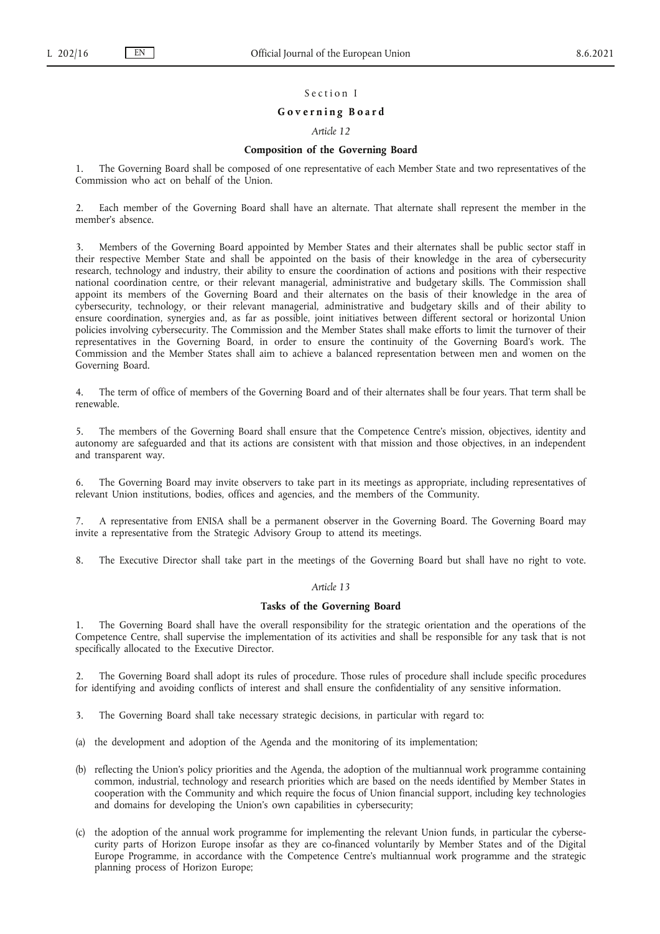#### Section I

#### **G o v e r n i n g B o a r d**

#### *Article 12*

#### **Composition of the Governing Board**

1. The Governing Board shall be composed of one representative of each Member State and two representatives of the Commission who act on behalf of the Union.

2. Each member of the Governing Board shall have an alternate. That alternate shall represent the member in the member's absence.

3. Members of the Governing Board appointed by Member States and their alternates shall be public sector staff in their respective Member State and shall be appointed on the basis of their knowledge in the area of cybersecurity research, technology and industry, their ability to ensure the coordination of actions and positions with their respective national coordination centre, or their relevant managerial, administrative and budgetary skills. The Commission shall appoint its members of the Governing Board and their alternates on the basis of their knowledge in the area of cybersecurity, technology, or their relevant managerial, administrative and budgetary skills and of their ability to ensure coordination, synergies and, as far as possible, joint initiatives between different sectoral or horizontal Union policies involving cybersecurity. The Commission and the Member States shall make efforts to limit the turnover of their representatives in the Governing Board, in order to ensure the continuity of the Governing Board's work. The Commission and the Member States shall aim to achieve a balanced representation between men and women on the Governing Board.

4. The term of office of members of the Governing Board and of their alternates shall be four years. That term shall be renewable.

5. The members of the Governing Board shall ensure that the Competence Centre's mission, objectives, identity and autonomy are safeguarded and that its actions are consistent with that mission and those objectives, in an independent and transparent way.

6. The Governing Board may invite observers to take part in its meetings as appropriate, including representatives of relevant Union institutions, bodies, offices and agencies, and the members of the Community.

7. A representative from ENISA shall be a permanent observer in the Governing Board. The Governing Board may invite a representative from the Strategic Advisory Group to attend its meetings.

8. The Executive Director shall take part in the meetings of the Governing Board but shall have no right to vote.

## *Article 13*

#### **Tasks of the Governing Board**

1. The Governing Board shall have the overall responsibility for the strategic orientation and the operations of the Competence Centre, shall supervise the implementation of its activities and shall be responsible for any task that is not specifically allocated to the Executive Director.

2. The Governing Board shall adopt its rules of procedure. Those rules of procedure shall include specific procedures for identifying and avoiding conflicts of interest and shall ensure the confidentiality of any sensitive information.

3. The Governing Board shall take necessary strategic decisions, in particular with regard to:

(a) the development and adoption of the Agenda and the monitoring of its implementation;

- (b) reflecting the Union's policy priorities and the Agenda, the adoption of the multiannual work programme containing common, industrial, technology and research priorities which are based on the needs identified by Member States in cooperation with the Community and which require the focus of Union financial support, including key technologies and domains for developing the Union's own capabilities in cybersecurity;
- (c) the adoption of the annual work programme for implementing the relevant Union funds, in particular the cybersecurity parts of Horizon Europe insofar as they are co-financed voluntarily by Member States and of the Digital Europe Programme, in accordance with the Competence Centre's multiannual work programme and the strategic planning process of Horizon Europe;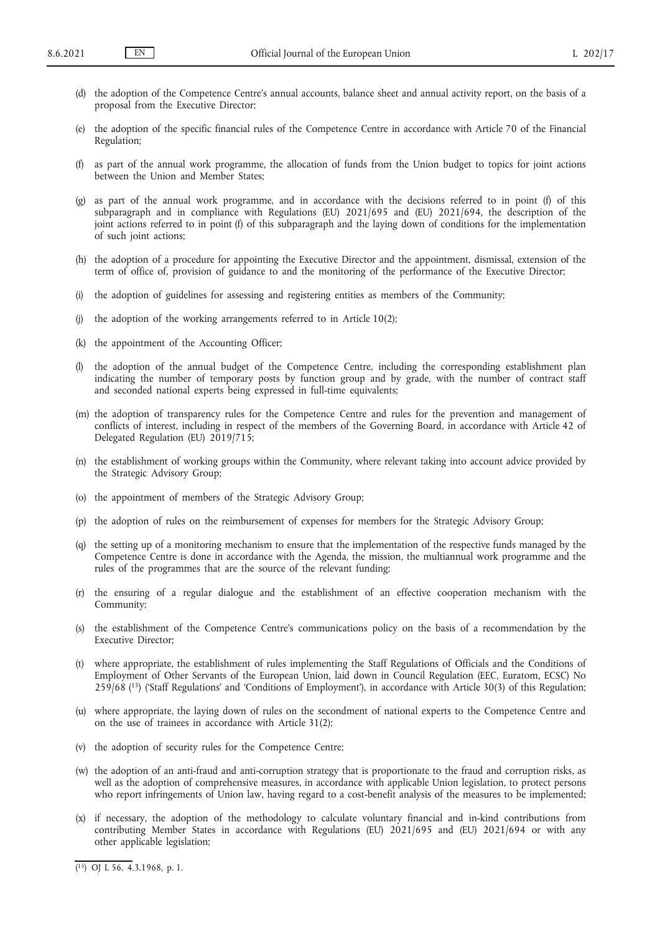- (d) the adoption of the Competence Centre's annual accounts, balance sheet and annual activity report, on the basis of a proposal from the Executive Director;
- (e) the adoption of the specific financial rules of the Competence Centre in accordance with Article 70 of the Financial Regulation;
- (f) as part of the annual work programme, the allocation of funds from the Union budget to topics for joint actions between the Union and Member States;
- (g) as part of the annual work programme, and in accordance with the decisions referred to in point (f) of this subparagraph and in compliance with Regulations (EU) 2021/695 and (EU) 2021/694, the description of the joint actions referred to in point (f) of this subparagraph and the laying down of conditions for the implementation of such joint actions;
- (h) the adoption of a procedure for appointing the Executive Director and the appointment, dismissal, extension of the term of office of, provision of guidance to and the monitoring of the performance of the Executive Director;
- (i) the adoption of guidelines for assessing and registering entities as members of the Community;
- (j) the adoption of the working arrangements referred to in Article 10(2);
- (k) the appointment of the Accounting Officer;
- (l) the adoption of the annual budget of the Competence Centre, including the corresponding establishment plan indicating the number of temporary posts by function group and by grade, with the number of contract staff and seconded national experts being expressed in full-time equivalents;
- (m) the adoption of transparency rules for the Competence Centre and rules for the prevention and management of conflicts of interest, including in respect of the members of the Governing Board, in accordance with Article 42 of Delegated Regulation (EU) 2019/715;
- (n) the establishment of working groups within the Community, where relevant taking into account advice provided by the Strategic Advisory Group;
- (o) the appointment of members of the Strategic Advisory Group;
- (p) the adoption of rules on the reimbursement of expenses for members for the Strategic Advisory Group;
- (q) the setting up of a monitoring mechanism to ensure that the implementation of the respective funds managed by the Competence Centre is done in accordance with the Agenda, the mission, the multiannual work programme and the rules of the programmes that are the source of the relevant funding;
- (r) the ensuring of a regular dialogue and the establishment of an effective cooperation mechanism with the Community;
- (s) the establishment of the Competence Centre's communications policy on the basis of a recommendation by the Executive Director;
- <span id="page-16-1"></span>(t) where appropriate, the establishment of rules implementing the Staff Regulations of Officials and the Conditions of Employment of Other Servants of the European Union, laid down in Council Regulation (EEC, Euratom, ECSC) No 259/68 [\(15\)](#page-16-0) ('Staff Regulations' and 'Conditions of Employment'), in accordance with Article 30(3) of this Regulation;
- (u) where appropriate, the laying down of rules on the secondment of national experts to the Competence Centre and on the use of trainees in accordance with Article 31(2);
- (v) the adoption of security rules for the Competence Centre;
- (w) the adoption of an anti-fraud and anti-corruption strategy that is proportionate to the fraud and corruption risks, as well as the adoption of comprehensive measures, in accordance with applicable Union legislation, to protect persons who report infringements of Union law, having regard to a cost-benefit analysis of the measures to be implemented;
- (x) if necessary, the adoption of the methodology to calculate voluntary financial and in-kind contributions from contributing Member States in accordance with Regulations (EU) 2021/695 and (EU) 2021/694 or with any other applicable legislation;

<span id="page-16-0"></span>[<sup>\(</sup>](#page-16-1) [15\) O](#page-16-1)J L 56, 4.3.1968, p. 1.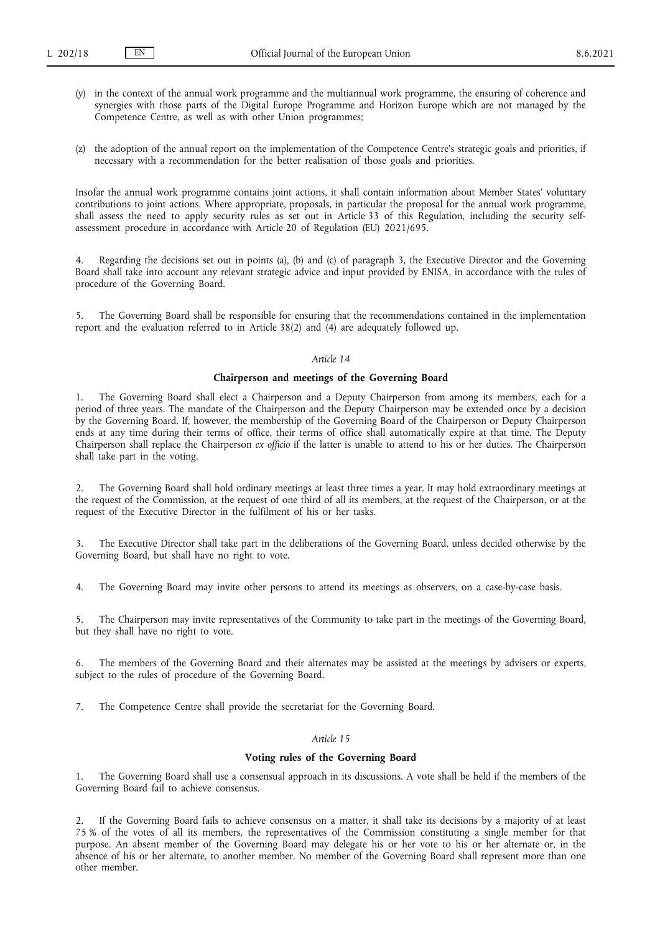- (y) in the context of the annual work programme and the multiannual work programme, the ensuring of coherence and synergies with those parts of the Digital Europe Programme and Horizon Europe which are not managed by the Competence Centre, as well as with other Union programmes;
- (z) the adoption of the annual report on the implementation of the Competence Centre's strategic goals and priorities, if necessary with a recommendation for the better realisation of those goals and priorities.

Insofar the annual work programme contains joint actions, it shall contain information about Member States' voluntary contributions to joint actions. Where appropriate, proposals, in particular the proposal for the annual work programme, shall assess the need to apply security rules as set out in Article 33 of this Regulation, including the security selfassessment procedure in accordance with Article 20 of Regulation (EU) 2021/695.

4. Regarding the decisions set out in points (a), (b) and (c) of paragraph 3, the Executive Director and the Governing Board shall take into account any relevant strategic advice and input provided by ENISA, in accordance with the rules of procedure of the Governing Board.

5. The Governing Board shall be responsible for ensuring that the recommendations contained in the implementation report and the evaluation referred to in Article 38(2) and (4) are adequately followed up.

## *Article 14*

#### **Chairperson and meetings of the Governing Board**

1. The Governing Board shall elect a Chairperson and a Deputy Chairperson from among its members, each for a period of three years. The mandate of the Chairperson and the Deputy Chairperson may be extended once by a decision by the Governing Board. If, however, the membership of the Governing Board of the Chairperson or Deputy Chairperson ends at any time during their terms of office, their terms of office shall automatically expire at that time. The Deputy Chairperson shall replace the Chairperson *ex officio* if the latter is unable to attend to his or her duties. The Chairperson shall take part in the voting.

2. The Governing Board shall hold ordinary meetings at least three times a year. It may hold extraordinary meetings at the request of the Commission, at the request of one third of all its members, at the request of the Chairperson, or at the request of the Executive Director in the fulfilment of his or her tasks.

3. The Executive Director shall take part in the deliberations of the Governing Board, unless decided otherwise by the Governing Board, but shall have no right to vote.

4. The Governing Board may invite other persons to attend its meetings as observers, on a case-by-case basis.

5. The Chairperson may invite representatives of the Community to take part in the meetings of the Governing Board, but they shall have no right to vote.

The members of the Governing Board and their alternates may be assisted at the meetings by advisers or experts, subject to the rules of procedure of the Governing Board.

7. The Competence Centre shall provide the secretariat for the Governing Board.

#### *Article 15*

## **Voting rules of the Governing Board**

1. The Governing Board shall use a consensual approach in its discussions. A vote shall be held if the members of the Governing Board fail to achieve consensus.

2. If the Governing Board fails to achieve consensus on a matter, it shall take its decisions by a majority of at least 75 % of the votes of all its members, the representatives of the Commission constituting a single member for that purpose. An absent member of the Governing Board may delegate his or her vote to his or her alternate or, in the absence of his or her alternate, to another member. No member of the Governing Board shall represent more than one other member.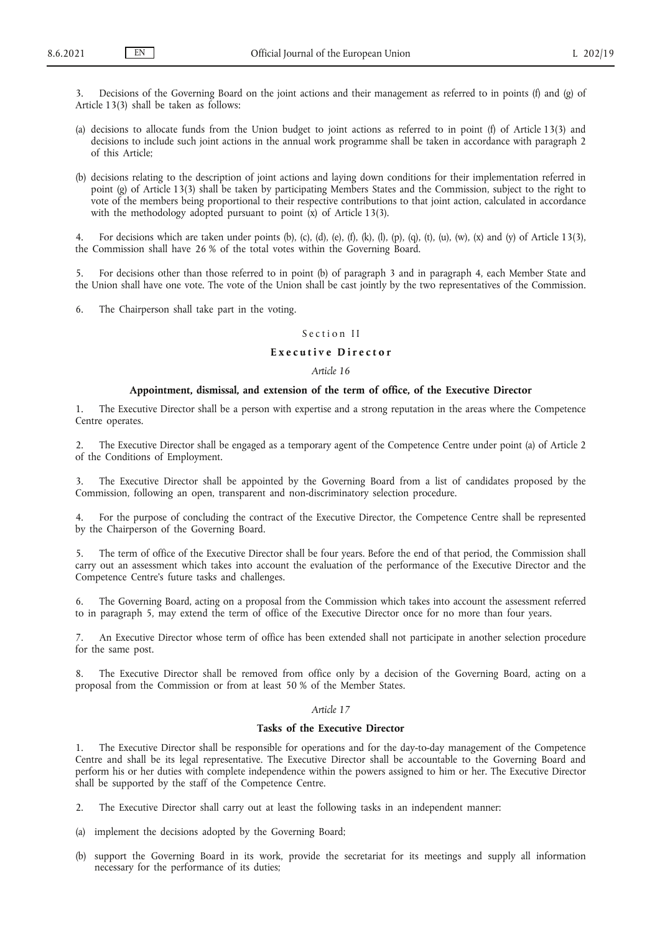Decisions of the Governing Board on the joint actions and their management as referred to in points (f) and (g) of Article 13(3) shall be taken as follows:

- (a) decisions to allocate funds from the Union budget to joint actions as referred to in point (f) of Article 13(3) and decisions to include such joint actions in the annual work programme shall be taken in accordance with paragraph 2 of this Article;
- (b) decisions relating to the description of joint actions and laying down conditions for their implementation referred in point (g) of Article 13(3) shall be taken by participating Members States and the Commission, subject to the right to vote of the members being proportional to their respective contributions to that joint action, calculated in accordance with the methodology adopted pursuant to point  $(x)$  of Article 13(3).

4. For decisions which are taken under points (b), (c), (d), (e), (f), (k), (l), (p), (q), (t), (u), (w), (x) and (y) of Article 13(3), the Commission shall have 26 % of the total votes within the Governing Board.

5. For decisions other than those referred to in point (b) of paragraph 3 and in paragraph 4, each Member State and the Union shall have one vote. The vote of the Union shall be cast jointly by the two representatives of the Commission.

6. The Chairperson shall take part in the voting.

## Section II

## **E x e c u t i v e D i r e c t o r**

## *Article 16*

#### **Appointment, dismissal, and extension of the term of office, of the Executive Director**

1. The Executive Director shall be a person with expertise and a strong reputation in the areas where the Competence Centre operates.

2. The Executive Director shall be engaged as a temporary agent of the Competence Centre under point (a) of Article 2 of the Conditions of Employment.

3. The Executive Director shall be appointed by the Governing Board from a list of candidates proposed by the Commission, following an open, transparent and non-discriminatory selection procedure.

4. For the purpose of concluding the contract of the Executive Director, the Competence Centre shall be represented by the Chairperson of the Governing Board.

5. The term of office of the Executive Director shall be four years. Before the end of that period, the Commission shall carry out an assessment which takes into account the evaluation of the performance of the Executive Director and the Competence Centre's future tasks and challenges.

The Governing Board, acting on a proposal from the Commission which takes into account the assessment referred to in paragraph 5, may extend the term of office of the Executive Director once for no more than four years.

7. An Executive Director whose term of office has been extended shall not participate in another selection procedure for the same post.

8. The Executive Director shall be removed from office only by a decision of the Governing Board, acting on a proposal from the Commission or from at least 50 % of the Member States.

## *Article 17*

#### **Tasks of the Executive Director**

1. The Executive Director shall be responsible for operations and for the day-to-day management of the Competence Centre and shall be its legal representative. The Executive Director shall be accountable to the Governing Board and perform his or her duties with complete independence within the powers assigned to him or her. The Executive Director shall be supported by the staff of the Competence Centre.

- 2. The Executive Director shall carry out at least the following tasks in an independent manner:
- (a) implement the decisions adopted by the Governing Board;
- (b) support the Governing Board in its work, provide the secretariat for its meetings and supply all information necessary for the performance of its duties;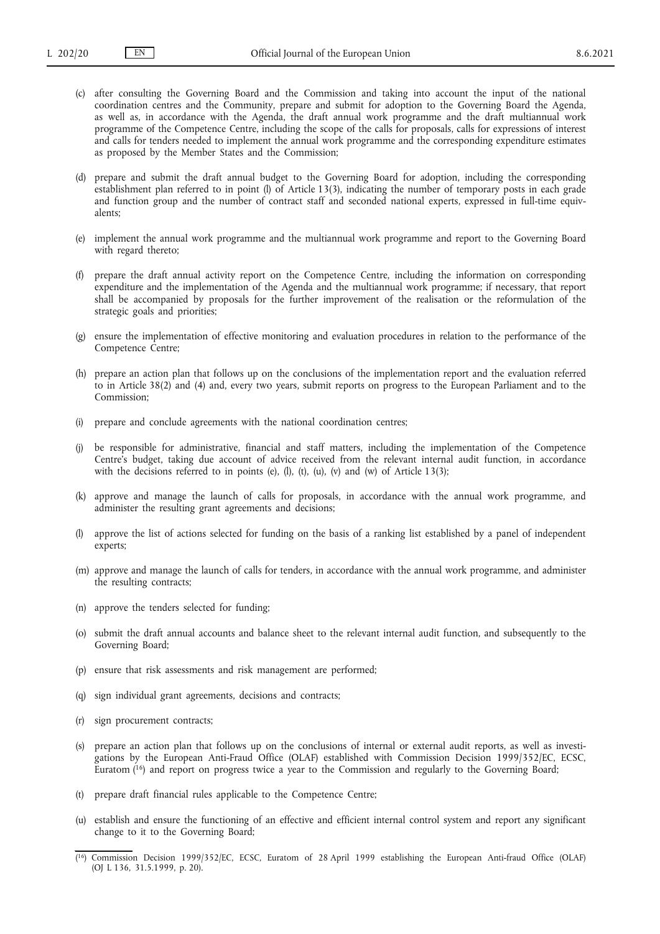- (c) after consulting the Governing Board and the Commission and taking into account the input of the national coordination centres and the Community, prepare and submit for adoption to the Governing Board the Agenda, as well as, in accordance with the Agenda, the draft annual work programme and the draft multiannual work programme of the Competence Centre, including the scope of the calls for proposals, calls for expressions of interest and calls for tenders needed to implement the annual work programme and the corresponding expenditure estimates as proposed by the Member States and the Commission;
- (d) prepare and submit the draft annual budget to the Governing Board for adoption, including the corresponding establishment plan referred to in point (l) of Article 13(3), indicating the number of temporary posts in each grade and function group and the number of contract staff and seconded national experts, expressed in full-time equivalents;
- (e) implement the annual work programme and the multiannual work programme and report to the Governing Board with regard thereto;
- (f) prepare the draft annual activity report on the Competence Centre, including the information on corresponding expenditure and the implementation of the Agenda and the multiannual work programme; if necessary, that report shall be accompanied by proposals for the further improvement of the realisation or the reformulation of the strategic goals and priorities;
- (g) ensure the implementation of effective monitoring and evaluation procedures in relation to the performance of the Competence Centre;
- (h) prepare an action plan that follows up on the conclusions of the implementation report and the evaluation referred to in Article 38(2) and (4) and, every two years, submit reports on progress to the European Parliament and to the Commission;
- (i) prepare and conclude agreements with the national coordination centres;
- (j) be responsible for administrative, financial and staff matters, including the implementation of the Competence Centre's budget, taking due account of advice received from the relevant internal audit function, in accordance with the decisions referred to in points (e), (l), (t), (u), (v) and (w) of Article  $13(3)$ ;
- (k) approve and manage the launch of calls for proposals, in accordance with the annual work programme, and administer the resulting grant agreements and decisions;
- (l) approve the list of actions selected for funding on the basis of a ranking list established by a panel of independent experts;
- (m) approve and manage the launch of calls for tenders, in accordance with the annual work programme, and administer the resulting contracts;
- (n) approve the tenders selected for funding;
- (o) submit the draft annual accounts and balance sheet to the relevant internal audit function, and subsequently to the Governing Board;
- (p) ensure that risk assessments and risk management are performed;
- (q) sign individual grant agreements, decisions and contracts;
- (r) sign procurement contracts;
- <span id="page-19-1"></span>(s) prepare an action plan that follows up on the conclusions of internal or external audit reports, as well as investigations by the European Anti-Fraud Office (OLAF) established with Commission Decision 1999/352/EC, ECSC, Euratom  $(16)$  and report on progress twice a year to the Commission and regularly to the Governing Board;
- (t) prepare draft financial rules applicable to the Competence Centre;
- (u) establish and ensure the functioning of an effective and efficient internal control system and report any significant change to it to the Governing Board;
- <span id="page-19-0"></span>[\(](#page-19-1) [16\) C](#page-19-1)ommission Decision 1999/352/EC, ECSC, Euratom of 28 April 1999 establishing the European Anti-fraud Office (OLAF) (OJ L 136, 31.5.1999, p. 20).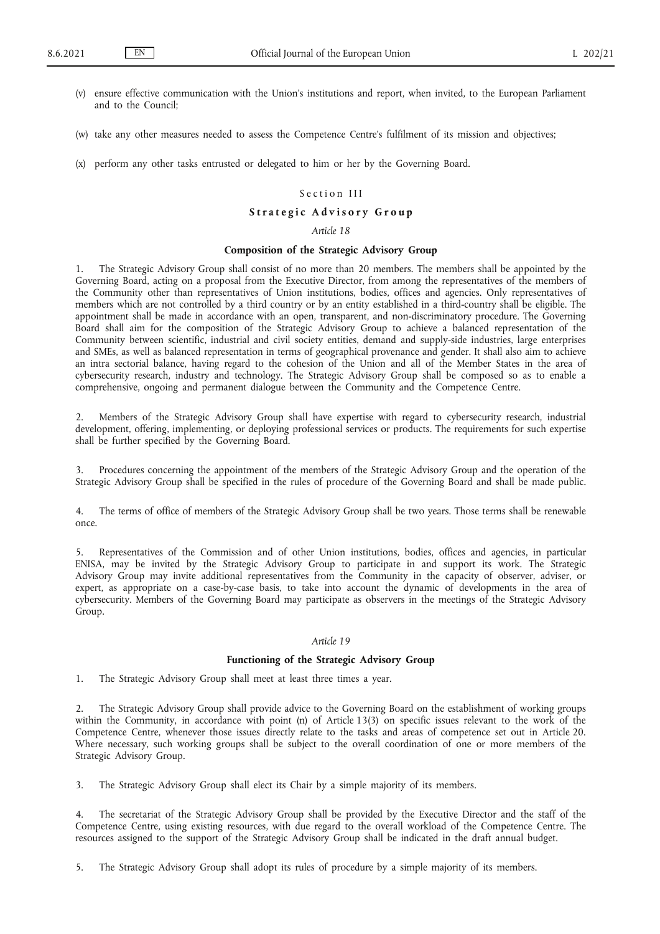- (v) ensure effective communication with the Union's institutions and report, when invited, to the European Parliament and to the Council;
- (w) take any other measures needed to assess the Competence Centre's fulfilment of its mission and objectives;
- (x) perform any other tasks entrusted or delegated to him or her by the Governing Board.

## Section III

## Strategic Advisory Group

#### *Article 18*

## **Composition of the Strategic Advisory Group**

1. The Strategic Advisory Group shall consist of no more than 20 members. The members shall be appointed by the Governing Board, acting on a proposal from the Executive Director, from among the representatives of the members of the Community other than representatives of Union institutions, bodies, offices and agencies. Only representatives of members which are not controlled by a third country or by an entity established in a third-country shall be eligible. The appointment shall be made in accordance with an open, transparent, and non-discriminatory procedure. The Governing Board shall aim for the composition of the Strategic Advisory Group to achieve a balanced representation of the Community between scientific, industrial and civil society entities, demand and supply-side industries, large enterprises and SMEs, as well as balanced representation in terms of geographical provenance and gender. It shall also aim to achieve an intra sectorial balance, having regard to the cohesion of the Union and all of the Member States in the area of cybersecurity research, industry and technology. The Strategic Advisory Group shall be composed so as to enable a comprehensive, ongoing and permanent dialogue between the Community and the Competence Centre.

2. Members of the Strategic Advisory Group shall have expertise with regard to cybersecurity research, industrial development, offering, implementing, or deploying professional services or products. The requirements for such expertise shall be further specified by the Governing Board.

3. Procedures concerning the appointment of the members of the Strategic Advisory Group and the operation of the Strategic Advisory Group shall be specified in the rules of procedure of the Governing Board and shall be made public.

4. The terms of office of members of the Strategic Advisory Group shall be two years. Those terms shall be renewable once.

5. Representatives of the Commission and of other Union institutions, bodies, offices and agencies, in particular ENISA, may be invited by the Strategic Advisory Group to participate in and support its work. The Strategic Advisory Group may invite additional representatives from the Community in the capacity of observer, adviser, or expert, as appropriate on a case-by-case basis, to take into account the dynamic of developments in the area of cybersecurity. Members of the Governing Board may participate as observers in the meetings of the Strategic Advisory Group.

#### *Article 19*

## **Functioning of the Strategic Advisory Group**

1. The Strategic Advisory Group shall meet at least three times a year.

2. The Strategic Advisory Group shall provide advice to the Governing Board on the establishment of working groups within the Community, in accordance with point (n) of Article 13(3) on specific issues relevant to the work of the Competence Centre, whenever those issues directly relate to the tasks and areas of competence set out in Article 20. Where necessary, such working groups shall be subject to the overall coordination of one or more members of the Strategic Advisory Group.

3. The Strategic Advisory Group shall elect its Chair by a simple majority of its members.

4. The secretariat of the Strategic Advisory Group shall be provided by the Executive Director and the staff of the Competence Centre, using existing resources, with due regard to the overall workload of the Competence Centre. The resources assigned to the support of the Strategic Advisory Group shall be indicated in the draft annual budget.

5. The Strategic Advisory Group shall adopt its rules of procedure by a simple majority of its members.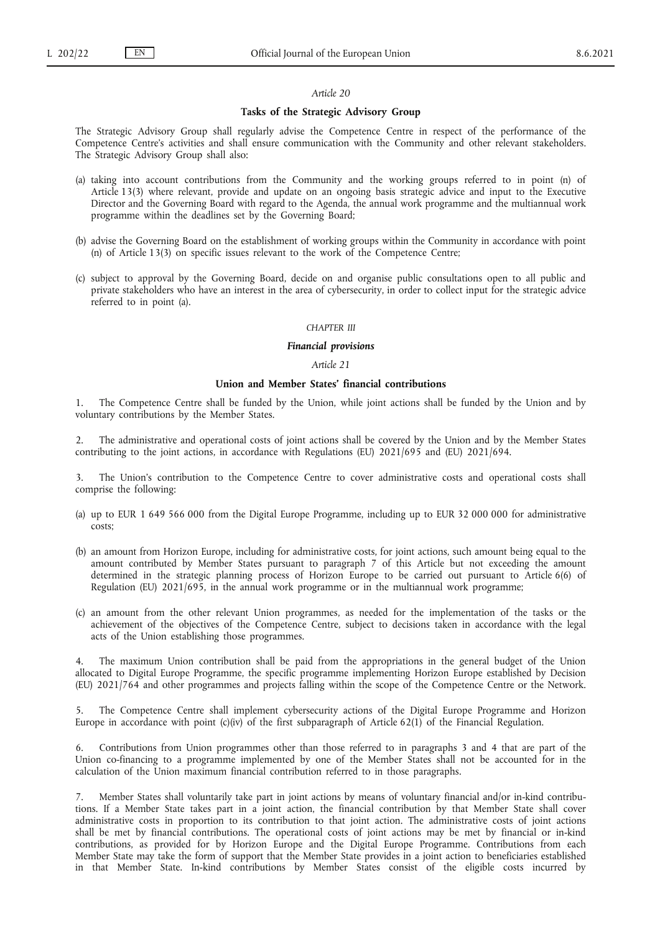#### **Tasks of the Strategic Advisory Group**

The Strategic Advisory Group shall regularly advise the Competence Centre in respect of the performance of the Competence Centre's activities and shall ensure communication with the Community and other relevant stakeholders. The Strategic Advisory Group shall also:

- (a) taking into account contributions from the Community and the working groups referred to in point (n) of Article 13(3) where relevant, provide and update on an ongoing basis strategic advice and input to the Executive Director and the Governing Board with regard to the Agenda, the annual work programme and the multiannual work programme within the deadlines set by the Governing Board;
- (b) advise the Governing Board on the establishment of working groups within the Community in accordance with point (n) of Article 13(3) on specific issues relevant to the work of the Competence Centre;
- (c) subject to approval by the Governing Board, decide on and organise public consultations open to all public and private stakeholders who have an interest in the area of cybersecurity, in order to collect input for the strategic advice referred to in point (a).

#### *CHAPTER III*

#### *Financial provisions*

#### *Article 21*

## **Union and Member States' financial contributions**

1. The Competence Centre shall be funded by the Union, while joint actions shall be funded by the Union and by voluntary contributions by the Member States.

2. The administrative and operational costs of joint actions shall be covered by the Union and by the Member States contributing to the joint actions, in accordance with Regulations (EU) 2021/695 and (EU) 2021/694.

The Union's contribution to the Competence Centre to cover administrative costs and operational costs shall comprise the following:

- (a) up to EUR 1 649 566 000 from the Digital Europe Programme, including up to EUR 32 000 000 for administrative costs;
- (b) an amount from Horizon Europe, including for administrative costs, for joint actions, such amount being equal to the amount contributed by Member States pursuant to paragraph 7 of this Article but not exceeding the amount determined in the strategic planning process of Horizon Europe to be carried out pursuant to Article 6(6) of Regulation (EU) 2021/695, in the annual work programme or in the multiannual work programme;
- (c) an amount from the other relevant Union programmes, as needed for the implementation of the tasks or the achievement of the objectives of the Competence Centre, subject to decisions taken in accordance with the legal acts of the Union establishing those programmes.

4. The maximum Union contribution shall be paid from the appropriations in the general budget of the Union allocated to Digital Europe Programme, the specific programme implementing Horizon Europe established by Decision (EU) 2021/764 and other programmes and projects falling within the scope of the Competence Centre or the Network.

5. The Competence Centre shall implement cybersecurity actions of the Digital Europe Programme and Horizon Europe in accordance with point  $(c)(iv)$  of the first subparagraph of Article 62(1) of the Financial Regulation.

6. Contributions from Union programmes other than those referred to in paragraphs 3 and 4 that are part of the Union co-financing to a programme implemented by one of the Member States shall not be accounted for in the calculation of the Union maximum financial contribution referred to in those paragraphs.

7. Member States shall voluntarily take part in joint actions by means of voluntary financial and/or in-kind contributions. If a Member State takes part in a joint action, the financial contribution by that Member State shall cover administrative costs in proportion to its contribution to that joint action. The administrative costs of joint actions shall be met by financial contributions. The operational costs of joint actions may be met by financial or in-kind contributions, as provided for by Horizon Europe and the Digital Europe Programme. Contributions from each Member State may take the form of support that the Member State provides in a joint action to beneficiaries established in that Member State. In-kind contributions by Member States consist of the eligible costs incurred by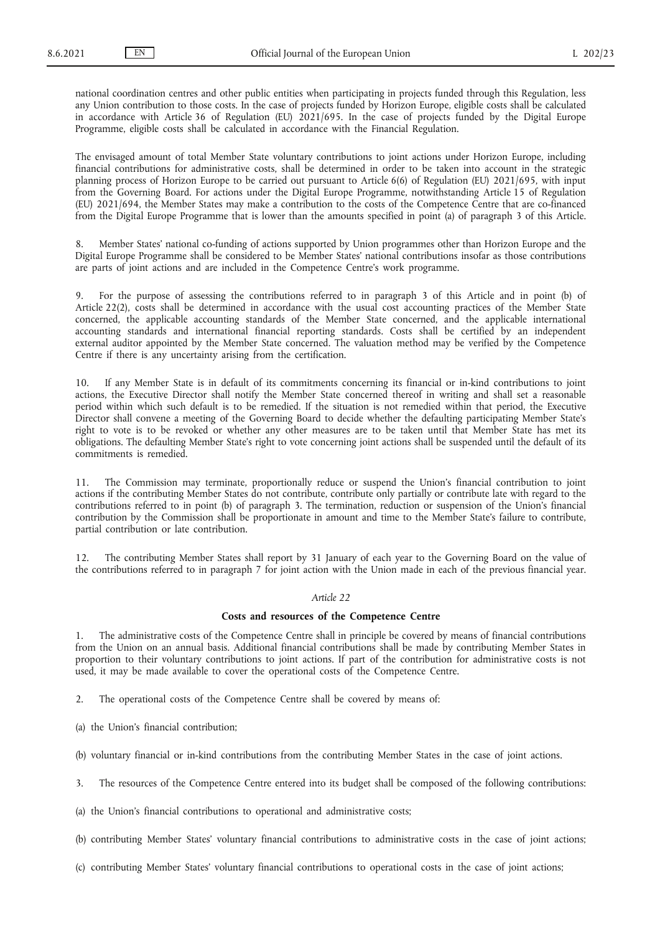national coordination centres and other public entities when participating in projects funded through this Regulation, less any Union contribution to those costs. In the case of projects funded by Horizon Europe, eligible costs shall be calculated in accordance with Article 36 of Regulation (EU) 2021/695. In the case of projects funded by the Digital Europe Programme, eligible costs shall be calculated in accordance with the Financial Regulation.

The envisaged amount of total Member State voluntary contributions to joint actions under Horizon Europe, including financial contributions for administrative costs, shall be determined in order to be taken into account in the strategic planning process of Horizon Europe to be carried out pursuant to Article 6(6) of Regulation (EU) 2021/695, with input from the Governing Board. For actions under the Digital Europe Programme, notwithstanding Article 15 of Regulation (EU) 2021/694, the Member States may make a contribution to the costs of the Competence Centre that are co-financed from the Digital Europe Programme that is lower than the amounts specified in point (a) of paragraph 3 of this Article.

8. Member States' national co-funding of actions supported by Union programmes other than Horizon Europe and the Digital Europe Programme shall be considered to be Member States' national contributions insofar as those contributions are parts of joint actions and are included in the Competence Centre's work programme.

9. For the purpose of assessing the contributions referred to in paragraph 3 of this Article and in point (b) of Article 22(2), costs shall be determined in accordance with the usual cost accounting practices of the Member State concerned, the applicable accounting standards of the Member State concerned, and the applicable international accounting standards and international financial reporting standards. Costs shall be certified by an independent external auditor appointed by the Member State concerned. The valuation method may be verified by the Competence Centre if there is any uncertainty arising from the certification.

10. If any Member State is in default of its commitments concerning its financial or in-kind contributions to joint actions, the Executive Director shall notify the Member State concerned thereof in writing and shall set a reasonable period within which such default is to be remedied. If the situation is not remedied within that period, the Executive Director shall convene a meeting of the Governing Board to decide whether the defaulting participating Member State's right to vote is to be revoked or whether any other measures are to be taken until that Member State has met its obligations. The defaulting Member State's right to vote concerning joint actions shall be suspended until the default of its commitments is remedied.

11. The Commission may terminate, proportionally reduce or suspend the Union's financial contribution to joint actions if the contributing Member States do not contribute, contribute only partially or contribute late with regard to the contributions referred to in point (b) of paragraph 3. The termination, reduction or suspension of the Union's financial contribution by the Commission shall be proportionate in amount and time to the Member State's failure to contribute, partial contribution or late contribution.

12. The contributing Member States shall report by 31 January of each year to the Governing Board on the value of the contributions referred to in paragraph 7 for joint action with the Union made in each of the previous financial year.

#### *Article 22*

## **Costs and resources of the Competence Centre**

1. The administrative costs of the Competence Centre shall in principle be covered by means of financial contributions from the Union on an annual basis. Additional financial contributions shall be made by contributing Member States in proportion to their voluntary contributions to joint actions. If part of the contribution for administrative costs is not used, it may be made available to cover the operational costs of the Competence Centre.

2. The operational costs of the Competence Centre shall be covered by means of:

(a) the Union's financial contribution;

(b) voluntary financial or in-kind contributions from the contributing Member States in the case of joint actions.

3. The resources of the Competence Centre entered into its budget shall be composed of the following contributions:

(a) the Union's financial contributions to operational and administrative costs;

(b) contributing Member States' voluntary financial contributions to administrative costs in the case of joint actions;

(c) contributing Member States' voluntary financial contributions to operational costs in the case of joint actions;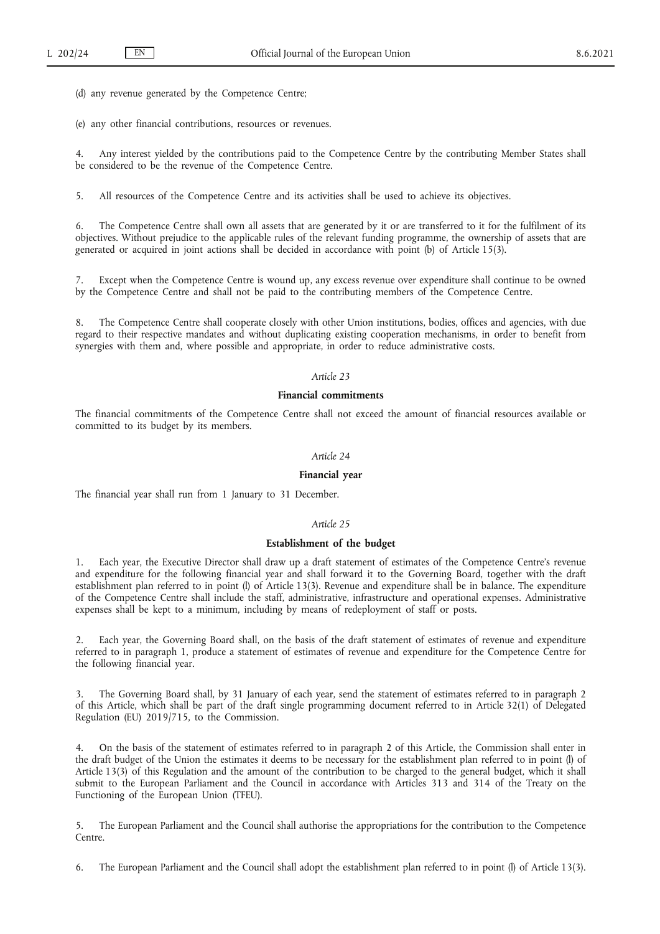(d) any revenue generated by the Competence Centre;

(e) any other financial contributions, resources or revenues.

4. Any interest yielded by the contributions paid to the Competence Centre by the contributing Member States shall be considered to be the revenue of the Competence Centre.

5. All resources of the Competence Centre and its activities shall be used to achieve its objectives.

6. The Competence Centre shall own all assets that are generated by it or are transferred to it for the fulfilment of its objectives. Without prejudice to the applicable rules of the relevant funding programme, the ownership of assets that are generated or acquired in joint actions shall be decided in accordance with point (b) of Article 15(3).

7. Except when the Competence Centre is wound up, any excess revenue over expenditure shall continue to be owned by the Competence Centre and shall not be paid to the contributing members of the Competence Centre.

8. The Competence Centre shall cooperate closely with other Union institutions, bodies, offices and agencies, with due regard to their respective mandates and without duplicating existing cooperation mechanisms, in order to benefit from synergies with them and, where possible and appropriate, in order to reduce administrative costs.

## *Article 23*

#### **Financial commitments**

The financial commitments of the Competence Centre shall not exceed the amount of financial resources available or committed to its budget by its members.

## *Article 24*

#### **Financial year**

The financial year shall run from 1 January to 31 December.

#### *Article 25*

#### **Establishment of the budget**

1. Each year, the Executive Director shall draw up a draft statement of estimates of the Competence Centre's revenue and expenditure for the following financial year and shall forward it to the Governing Board, together with the draft establishment plan referred to in point (l) of Article 13(3). Revenue and expenditure shall be in balance. The expenditure of the Competence Centre shall include the staff, administrative, infrastructure and operational expenses. Administrative expenses shall be kept to a minimum, including by means of redeployment of staff or posts.

2. Each year, the Governing Board shall, on the basis of the draft statement of estimates of revenue and expenditure referred to in paragraph 1, produce a statement of estimates of revenue and expenditure for the Competence Centre for the following financial year.

3. The Governing Board shall, by 31 January of each year, send the statement of estimates referred to in paragraph 2 of this Article, which shall be part of the draft single programming document referred to in Article 32(1) of Delegated Regulation (EU) 2019/715, to the Commission.

4. On the basis of the statement of estimates referred to in paragraph 2 of this Article, the Commission shall enter in the draft budget of the Union the estimates it deems to be necessary for the establishment plan referred to in point (l) of Article 13(3) of this Regulation and the amount of the contribution to be charged to the general budget, which it shall submit to the European Parliament and the Council in accordance with Articles 313 and 314 of the Treaty on the Functioning of the European Union (TFEU).

5. The European Parliament and the Council shall authorise the appropriations for the contribution to the Competence Centre.

6. The European Parliament and the Council shall adopt the establishment plan referred to in point (l) of Article 13(3).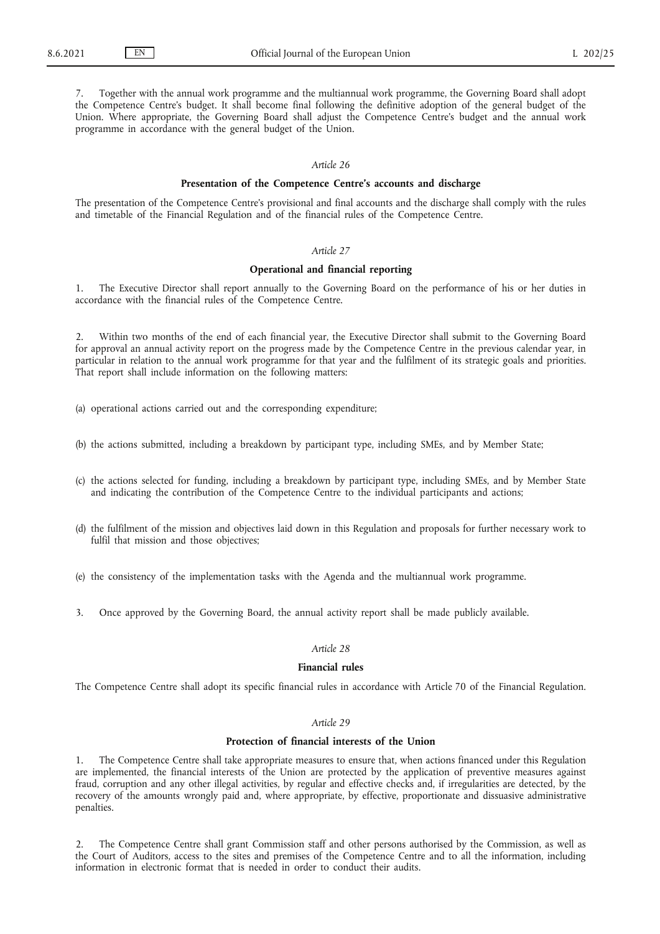7. Together with the annual work programme and the multiannual work programme, the Governing Board shall adopt the Competence Centre's budget. It shall become final following the definitive adoption of the general budget of the Union. Where appropriate, the Governing Board shall adjust the Competence Centre's budget and the annual work programme in accordance with the general budget of the Union.

#### *Article 26*

#### **Presentation of the Competence Centre's accounts and discharge**

The presentation of the Competence Centre's provisional and final accounts and the discharge shall comply with the rules and timetable of the Financial Regulation and of the financial rules of the Competence Centre.

#### *Article 27*

#### **Operational and financial reporting**

1. The Executive Director shall report annually to the Governing Board on the performance of his or her duties in accordance with the financial rules of the Competence Centre.

2. Within two months of the end of each financial year, the Executive Director shall submit to the Governing Board for approval an annual activity report on the progress made by the Competence Centre in the previous calendar year, in particular in relation to the annual work programme for that year and the fulfilment of its strategic goals and priorities. That report shall include information on the following matters:

(a) operational actions carried out and the corresponding expenditure;

- (b) the actions submitted, including a breakdown by participant type, including SMEs, and by Member State;
- (c) the actions selected for funding, including a breakdown by participant type, including SMEs, and by Member State and indicating the contribution of the Competence Centre to the individual participants and actions;
- (d) the fulfilment of the mission and objectives laid down in this Regulation and proposals for further necessary work to fulfil that mission and those objectives;
- (e) the consistency of the implementation tasks with the Agenda and the multiannual work programme.
- 3. Once approved by the Governing Board, the annual activity report shall be made publicly available.

## *Article 28*

#### **Financial rules**

The Competence Centre shall adopt its specific financial rules in accordance with Article 70 of the Financial Regulation.

## *Article 29*

## **Protection of financial interests of the Union**

1. The Competence Centre shall take appropriate measures to ensure that, when actions financed under this Regulation are implemented, the financial interests of the Union are protected by the application of preventive measures against fraud, corruption and any other illegal activities, by regular and effective checks and, if irregularities are detected, by the recovery of the amounts wrongly paid and, where appropriate, by effective, proportionate and dissuasive administrative penalties.

2. The Competence Centre shall grant Commission staff and other persons authorised by the Commission, as well as the Court of Auditors, access to the sites and premises of the Competence Centre and to all the information, including information in electronic format that is needed in order to conduct their audits.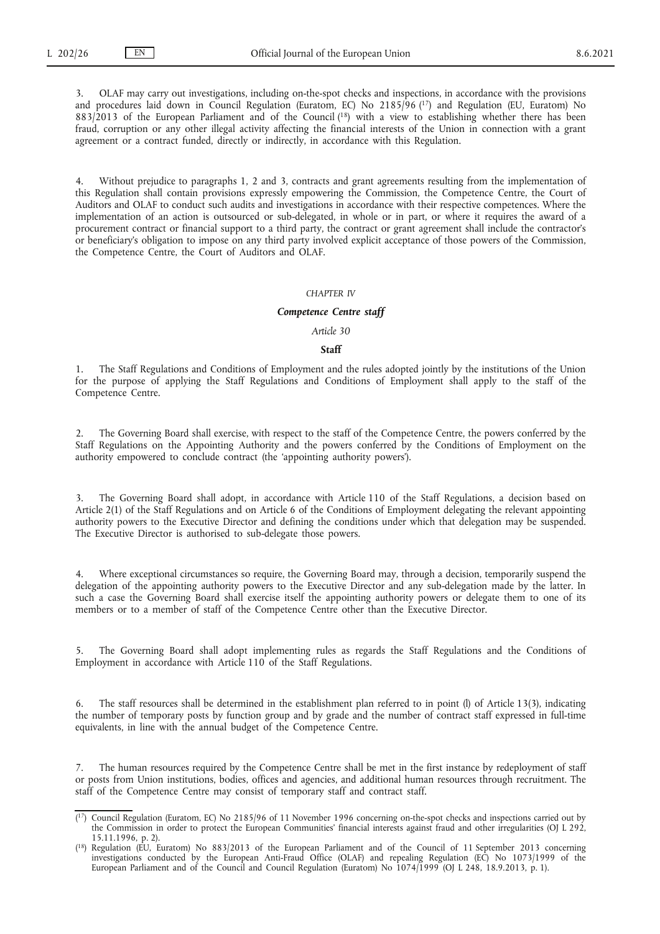<span id="page-25-3"></span><span id="page-25-2"></span>3. OLAF may carry out investigations, including on-the-spot checks and inspections, in accordance with the provisions and procedures laid down in Council Regulation (Euratom, EC) No 2185/96 [\(17\)](#page-25-0) and Regulation (EU, Euratom) No 883/2013 of the European Parliament and of the Counci[l \(18\)](#page-25-1) with a view to establishing whether there has been fraud, corruption or any other illegal activity affecting the financial interests of the Union in connection with a grant agreement or a contract funded, directly or indirectly, in accordance with this Regulation.

4. Without prejudice to paragraphs 1, 2 and 3, contracts and grant agreements resulting from the implementation of this Regulation shall contain provisions expressly empowering the Commission, the Competence Centre, the Court of Auditors and OLAF to conduct such audits and investigations in accordance with their respective competences. Where the implementation of an action is outsourced or sub-delegated, in whole or in part, or where it requires the award of a procurement contract or financial support to a third party, the contract or grant agreement shall include the contractor's or beneficiary's obligation to impose on any third party involved explicit acceptance of those powers of the Commission, the Competence Centre, the Court of Auditors and OLAF.

#### *CHAPTER IV*

## *Competence Centre staff*

#### *Article 30*

## **Staff**

1. The Staff Regulations and Conditions of Employment and the rules adopted jointly by the institutions of the Union for the purpose of applying the Staff Regulations and Conditions of Employment shall apply to the staff of the Competence Centre.

2. The Governing Board shall exercise, with respect to the staff of the Competence Centre, the powers conferred by the Staff Regulations on the Appointing Authority and the powers conferred by the Conditions of Employment on the authority empowered to conclude contract (the 'appointing authority powers').

3. The Governing Board shall adopt, in accordance with Article 110 of the Staff Regulations, a decision based on Article 2(1) of the Staff Regulations and on Article 6 of the Conditions of Employment delegating the relevant appointing authority powers to the Executive Director and defining the conditions under which that delegation may be suspended. The Executive Director is authorised to sub-delegate those powers.

4. Where exceptional circumstances so require, the Governing Board may, through a decision, temporarily suspend the delegation of the appointing authority powers to the Executive Director and any sub-delegation made by the latter. In such a case the Governing Board shall exercise itself the appointing authority powers or delegate them to one of its members or to a member of staff of the Competence Centre other than the Executive Director.

5. The Governing Board shall adopt implementing rules as regards the Staff Regulations and the Conditions of Employment in accordance with Article 110 of the Staff Regulations.

6. The staff resources shall be determined in the establishment plan referred to in point (l) of Article 13(3), indicating the number of temporary posts by function group and by grade and the number of contract staff expressed in full-time equivalents, in line with the annual budget of the Competence Centre.

The human resources required by the Competence Centre shall be met in the first instance by redeployment of staff or posts from Union institutions, bodies, offices and agencies, and additional human resources through recruitment. The staff of the Competence Centre may consist of temporary staff and contract staff.

<span id="page-25-0"></span> $(1^7)$  $(1^7)$  Council Regulation (Euratom, EC) No 2185/96 of 11 November 1996 concerning on-the-spot checks and inspections carried out by the Commission in order to protect the European Communities' financial interests against fraud and other irregularities (OJ L 292, 15.11.1996, p. 2).

<span id="page-25-1"></span>[<sup>\(</sup>](#page-25-3) [18\) R](#page-25-3)egulation (EU, Euratom) No 883/2013 of the European Parliament and of the Council of 11 September 2013 concerning investigations conducted by the European Anti-Fraud Office (OLAF) and repealing Regulation (EC) No 1073/1999 of the European Parliament and of the Council and Council Regulation (Euratom) No 1074/1999 (OJ L 248, 18.9.2013, p. 1).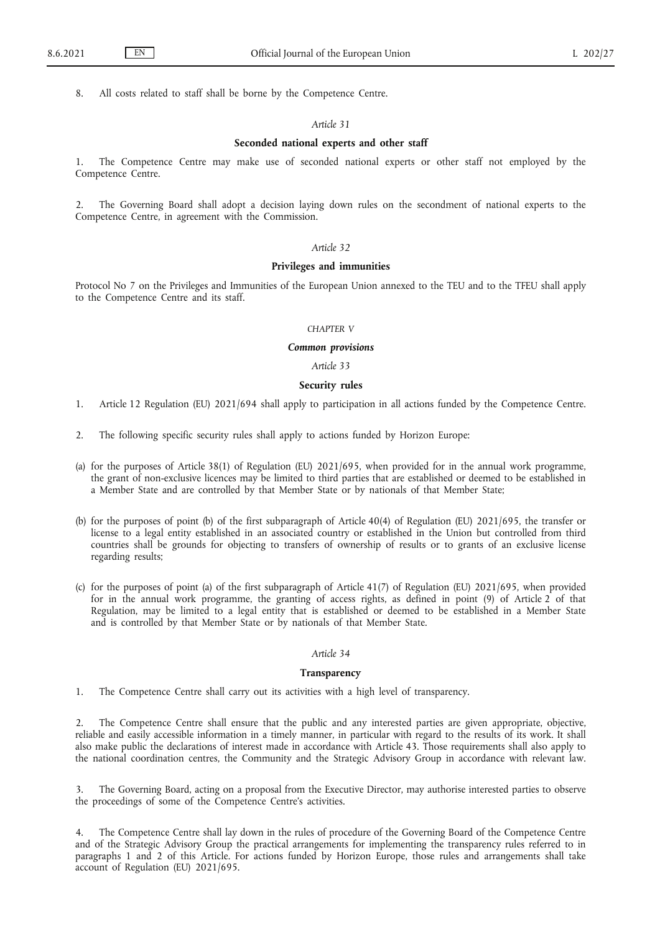8. All costs related to staff shall be borne by the Competence Centre.

#### *Article 31*

#### **Seconded national experts and other staff**

1. The Competence Centre may make use of seconded national experts or other staff not employed by the Competence Centre.

2. The Governing Board shall adopt a decision laying down rules on the secondment of national experts to the Competence Centre, in agreement with the Commission.

## *Article 32*

#### **Privileges and immunities**

Protocol No 7 on the Privileges and Immunities of the European Union annexed to the TEU and to the TFEU shall apply to the Competence Centre and its staff.

#### *CHAPTER V*

#### *Common provisions*

*Article 33*

## **Security rules**

1. Article 12 Regulation (EU) 2021/694 shall apply to participation in all actions funded by the Competence Centre.

- 2. The following specific security rules shall apply to actions funded by Horizon Europe:
- (a) for the purposes of Article 38(1) of Regulation (EU) 2021/695, when provided for in the annual work programme, the grant of non-exclusive licences may be limited to third parties that are established or deemed to be established in a Member State and are controlled by that Member State or by nationals of that Member State;
- (b) for the purposes of point (b) of the first subparagraph of Article 40(4) of Regulation (EU) 2021/695, the transfer or license to a legal entity established in an associated country or established in the Union but controlled from third countries shall be grounds for objecting to transfers of ownership of results or to grants of an exclusive license regarding results;
- (c) for the purposes of point (a) of the first subparagraph of Article 41(7) of Regulation (EU) 2021/695, when provided for in the annual work programme, the granting of access rights, as defined in point (9) of Article 2 of that Regulation, may be limited to a legal entity that is established or deemed to be established in a Member State and is controlled by that Member State or by nationals of that Member State.

## *Article 34*

#### **Transparency**

1. The Competence Centre shall carry out its activities with a high level of transparency.

2. The Competence Centre shall ensure that the public and any interested parties are given appropriate, objective, reliable and easily accessible information in a timely manner, in particular with regard to the results of its work. It shall also make public the declarations of interest made in accordance with Article 43. Those requirements shall also apply to the national coordination centres, the Community and the Strategic Advisory Group in accordance with relevant law.

3. The Governing Board, acting on a proposal from the Executive Director, may authorise interested parties to observe the proceedings of some of the Competence Centre's activities.

4. The Competence Centre shall lay down in the rules of procedure of the Governing Board of the Competence Centre and of the Strategic Advisory Group the practical arrangements for implementing the transparency rules referred to in paragraphs 1 and 2 of this Article. For actions funded by Horizon Europe, those rules and arrangements shall take account of Regulation (EU) 2021/695.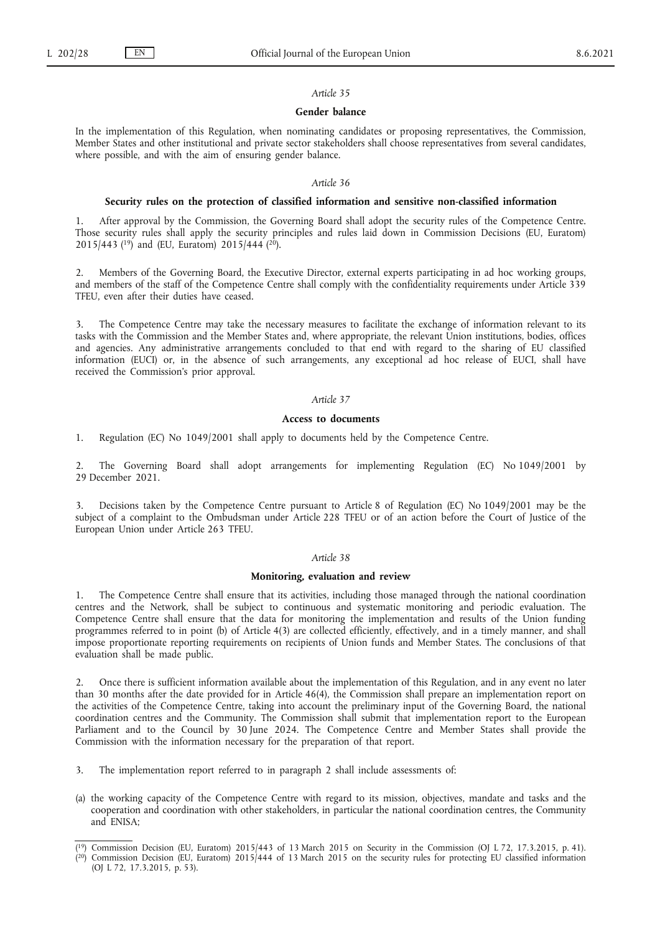#### **Gender balance**

In the implementation of this Regulation, when nominating candidates or proposing representatives, the Commission, Member States and other institutional and private sector stakeholders shall choose representatives from several candidates, where possible, and with the aim of ensuring gender balance.

#### *Article 36*

#### **Security rules on the protection of classified information and sensitive non-classified information**

<span id="page-27-2"></span>After approval by the Commission, the Governing Board shall adopt the security rules of the Competence Centre. Those security rules shall apply the security principles and rules laid down in Commission Decisions (EU, Euratom) 2015/44[3 \(19\)](#page-27-0) and (EU, Euratom) 2015/444 [\(20\).](#page-27-1)

2. Members of the Governing Board, the Executive Director, external experts participating in ad hoc working groups, and members of the staff of the Competence Centre shall comply with the confidentiality requirements under Article 339 TFEU, even after their duties have ceased.

3. The Competence Centre may take the necessary measures to facilitate the exchange of information relevant to its tasks with the Commission and the Member States and, where appropriate, the relevant Union institutions, bodies, offices and agencies. Any administrative arrangements concluded to that end with regard to the sharing of EU classified information (EUCI) or, in the absence of such arrangements, any exceptional ad hoc release of EUCI, shall have received the Commission's prior approval.

## *Article 37*

## **Access to documents**

1. Regulation (EC) No 1049/2001 shall apply to documents held by the Competence Centre.

2. The Governing Board shall adopt arrangements for implementing Regulation (EC) No 1049/2001 by 29 December 2021.

3. Decisions taken by the Competence Centre pursuant to Article 8 of Regulation (EC) No 1049/2001 may be the subject of a complaint to the Ombudsman under Article 228 TFEU or of an action before the Court of Justice of the European Union under Article 263 TFEU.

## *Article 38*

#### **Monitoring, evaluation and review**

1. The Competence Centre shall ensure that its activities, including those managed through the national coordination centres and the Network, shall be subject to continuous and systematic monitoring and periodic evaluation. The Competence Centre shall ensure that the data for monitoring the implementation and results of the Union funding programmes referred to in point (b) of Article 4(3) are collected efficiently, effectively, and in a timely manner, and shall impose proportionate reporting requirements on recipients of Union funds and Member States. The conclusions of that evaluation shall be made public.

2. Once there is sufficient information available about the implementation of this Regulation, and in any event no later than 30 months after the date provided for in Article 46(4), the Commission shall prepare an implementation report on the activities of the Competence Centre, taking into account the preliminary input of the Governing Board, the national coordination centres and the Community. The Commission shall submit that implementation report to the European Parliament and to the Council by 30 June 2024. The Competence Centre and Member States shall provide the Commission with the information necessary for the preparation of that report.

- 3. The implementation report referred to in paragraph 2 shall include assessments of:
- (a) the working capacity of the Competence Centre with regard to its mission, objectives, mandate and tasks and the cooperation and coordination with other stakeholders, in particular the national coordination centres, the Community and ENISA;

<span id="page-27-1"></span><span id="page-27-0"></span>[<sup>\(</sup>](#page-27-2) [19\) C](#page-27-2)ommission Decision (EU, Euratom) 2015/443 of 13 March 2015 on Security in the Commission (OJ L 72, 17.3.2015, p. 41). [\(](#page-27-2)<sup>20</sup>) Commission Decision (EU, Euratom) 2015/444 of 13 March 2015 on the security rules for protecting EU classified information

<sup>(</sup>OJ L 72, 17.3.2015, p. 53).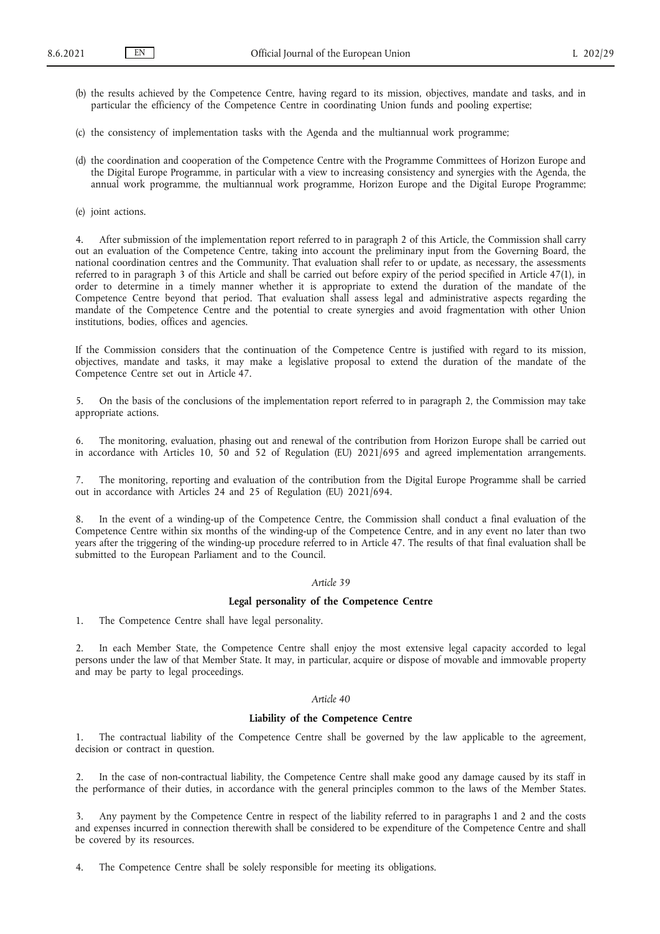- (b) the results achieved by the Competence Centre, having regard to its mission, objectives, mandate and tasks, and in particular the efficiency of the Competence Centre in coordinating Union funds and pooling expertise;
- (c) the consistency of implementation tasks with the Agenda and the multiannual work programme;
- (d) the coordination and cooperation of the Competence Centre with the Programme Committees of Horizon Europe and the Digital Europe Programme, in particular with a view to increasing consistency and synergies with the Agenda, the annual work programme, the multiannual work programme, Horizon Europe and the Digital Europe Programme;
- (e) joint actions.

After submission of the implementation report referred to in paragraph 2 of this Article, the Commission shall carry out an evaluation of the Competence Centre, taking into account the preliminary input from the Governing Board, the national coordination centres and the Community. That evaluation shall refer to or update, as necessary, the assessments referred to in paragraph 3 of this Article and shall be carried out before expiry of the period specified in Article 47(1), in order to determine in a timely manner whether it is appropriate to extend the duration of the mandate of the Competence Centre beyond that period. That evaluation shall assess legal and administrative aspects regarding the mandate of the Competence Centre and the potential to create synergies and avoid fragmentation with other Union institutions, bodies, offices and agencies.

If the Commission considers that the continuation of the Competence Centre is justified with regard to its mission, objectives, mandate and tasks, it may make a legislative proposal to extend the duration of the mandate of the Competence Centre set out in Article 47.

5. On the basis of the conclusions of the implementation report referred to in paragraph 2, the Commission may take appropriate actions.

6. The monitoring, evaluation, phasing out and renewal of the contribution from Horizon Europe shall be carried out in accordance with Articles 10, 50 and 52 of Regulation (EU) 2021/695 and agreed implementation arrangements.

7. The monitoring, reporting and evaluation of the contribution from the Digital Europe Programme shall be carried out in accordance with Articles 24 and 25 of Regulation (EU) 2021/694.

In the event of a winding-up of the Competence Centre, the Commission shall conduct a final evaluation of the Competence Centre within six months of the winding-up of the Competence Centre, and in any event no later than two years after the triggering of the winding-up procedure referred to in Article 47. The results of that final evaluation shall be submitted to the European Parliament and to the Council.

## *Article 39*

## **Legal personality of the Competence Centre**

1. The Competence Centre shall have legal personality.

2. In each Member State, the Competence Centre shall enjoy the most extensive legal capacity accorded to legal persons under the law of that Member State. It may, in particular, acquire or dispose of movable and immovable property and may be party to legal proceedings.

## *Article 40*

## **Liability of the Competence Centre**

1. The contractual liability of the Competence Centre shall be governed by the law applicable to the agreement, decision or contract in question.

2. In the case of non-contractual liability, the Competence Centre shall make good any damage caused by its staff in the performance of their duties, in accordance with the general principles common to the laws of the Member States.

3. Any payment by the Competence Centre in respect of the liability referred to in paragraphs 1 and 2 and the costs and expenses incurred in connection therewith shall be considered to be expenditure of the Competence Centre and shall be covered by its resources.

4. The Competence Centre shall be solely responsible for meeting its obligations.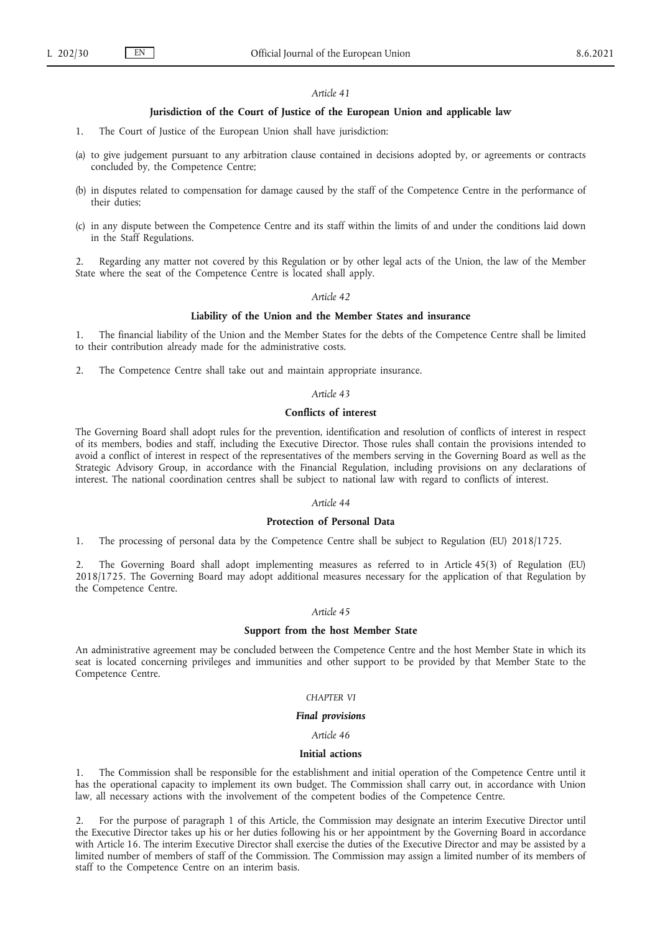## **Jurisdiction of the Court of Justice of the European Union and applicable law**

- 1. The Court of Justice of the European Union shall have jurisdiction:
- (a) to give judgement pursuant to any arbitration clause contained in decisions adopted by, or agreements or contracts concluded by, the Competence Centre;
- (b) in disputes related to compensation for damage caused by the staff of the Competence Centre in the performance of their duties;
- (c) in any dispute between the Competence Centre and its staff within the limits of and under the conditions laid down in the Staff Regulations.

2. Regarding any matter not covered by this Regulation or by other legal acts of the Union, the law of the Member State where the seat of the Competence Centre is located shall apply.

#### *Article 42*

#### **Liability of the Union and the Member States and insurance**

1. The financial liability of the Union and the Member States for the debts of the Competence Centre shall be limited to their contribution already made for the administrative costs.

2. The Competence Centre shall take out and maintain appropriate insurance.

## *Article 43*

## **Conflicts of interest**

The Governing Board shall adopt rules for the prevention, identification and resolution of conflicts of interest in respect of its members, bodies and staff, including the Executive Director. Those rules shall contain the provisions intended to avoid a conflict of interest in respect of the representatives of the members serving in the Governing Board as well as the Strategic Advisory Group, in accordance with the Financial Regulation, including provisions on any declarations of interest. The national coordination centres shall be subject to national law with regard to conflicts of interest.

## *Article 44*

#### **Protection of Personal Data**

1. The processing of personal data by the Competence Centre shall be subject to Regulation (EU) 2018/1725.

2. The Governing Board shall adopt implementing measures as referred to in Article 45(3) of Regulation (EU) 2018/1725. The Governing Board may adopt additional measures necessary for the application of that Regulation by the Competence Centre.

## *Article 45*

#### **Support from the host Member State**

An administrative agreement may be concluded between the Competence Centre and the host Member State in which its seat is located concerning privileges and immunities and other support to be provided by that Member State to the Competence Centre.

#### *CHAPTER VI*

#### *Final provisions*

#### *Article 46*

#### **Initial actions**

1. The Commission shall be responsible for the establishment and initial operation of the Competence Centre until it has the operational capacity to implement its own budget. The Commission shall carry out, in accordance with Union law, all necessary actions with the involvement of the competent bodies of the Competence Centre.

2. For the purpose of paragraph 1 of this Article, the Commission may designate an interim Executive Director until the Executive Director takes up his or her duties following his or her appointment by the Governing Board in accordance with Article 16. The interim Executive Director shall exercise the duties of the Executive Director and may be assisted by a limited number of members of staff of the Commission. The Commission may assign a limited number of its members of staff to the Competence Centre on an interim basis.